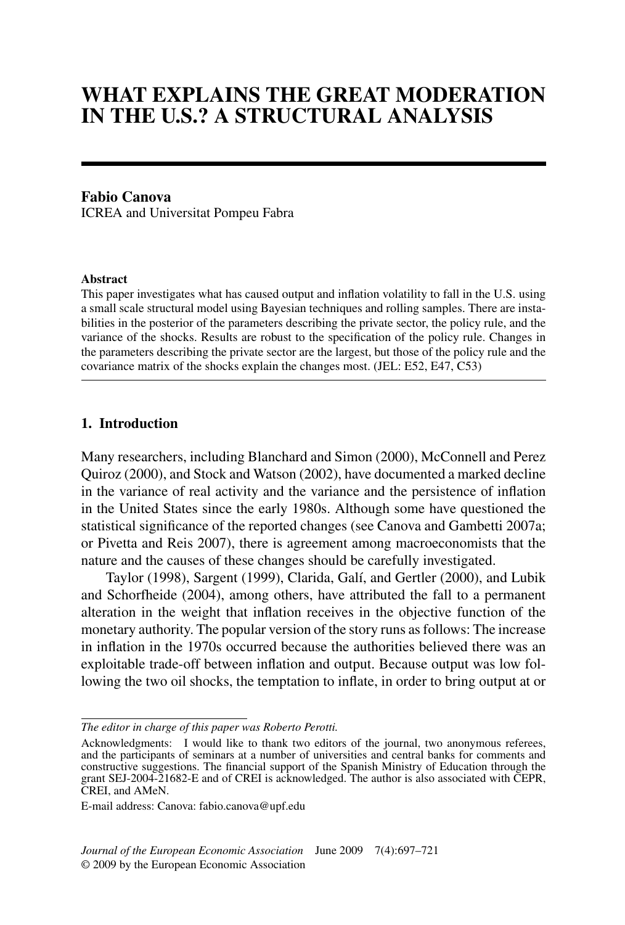# **WHAT EXPLAINS THE GREAT MODERATION IN THE U.S.? A STRUCTURAL ANALYSIS**

# **Fabio Canova**

ICREA and Universitat Pompeu Fabra

#### **Abstract**

This paper investigates what has caused output and inflation volatility to fall in the U.S. using a small scale structural model using Bayesian techniques and rolling samples. There are instabilities in the posterior of the parameters describing the private sector, the policy rule, and the variance of the shocks. Results are robust to the specification of the policy rule. Changes in the parameters describing the private sector are the largest, but those of the policy rule and the covariance matrix of the shocks explain the changes most. (JEL: E52, E47, C53)

## **1. Introduction**

Many researchers, including Blanchard and Simon (2000), McConnell and Perez Quiroz (2000), and Stock and Watson (2002), have documented a marked decline in the variance of real activity and the variance and the persistence of inflation in the United States since the early 1980s. Although some have questioned the statistical significance of the reported changes (see Canova and Gambetti 2007a; or Pivetta and Reis 2007), there is agreement among macroeconomists that the nature and the causes of these changes should be carefully investigated.

Taylor (1998), Sargent (1999), Clarida, Galí, and Gertler (2000), and Lubik and Schorfheide (2004), among others, have attributed the fall to a permanent alteration in the weight that inflation receives in the objective function of the monetary authority. The popular version of the story runs as follows: The increase in inflation in the 1970s occurred because the authorities believed there was an exploitable trade-off between inflation and output. Because output was low following the two oil shocks, the temptation to inflate, in order to bring output at or

*The editor in charge of this paper was Roberto Perotti.*

Acknowledgments: I would like to thank two editors of the journal, two anonymous referees, and the participants of seminars at a number of universities and central banks for comments and constructive suggestions. The financial support of the Spanish Ministry of Education through the grant SEJ-2004-21682-E and of CREI is acknowledged. The author is also associated with CEPR, CREI, and AMeN.

E-mail address: Canova: fabio.canova@upf.edu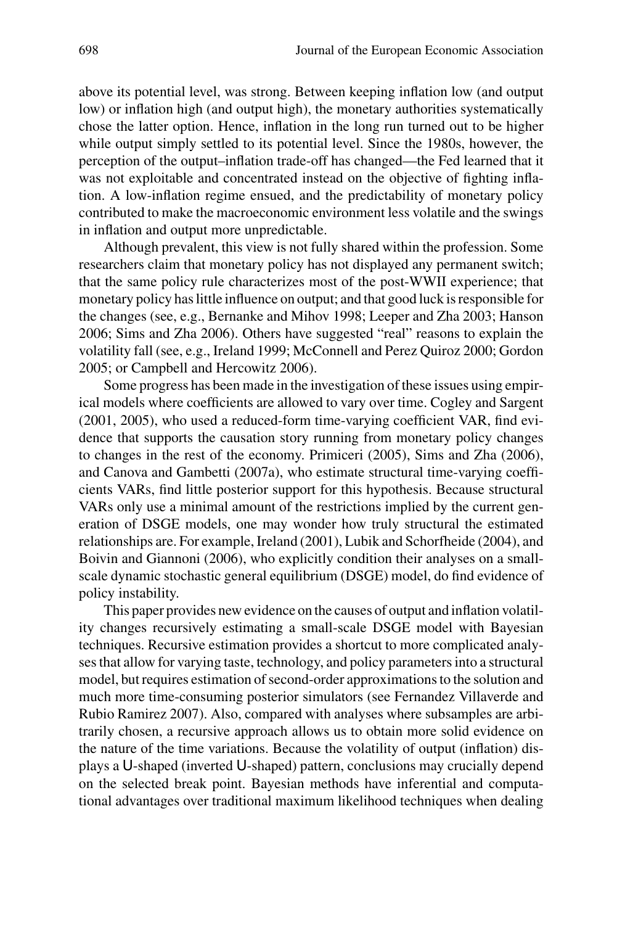above its potential level, was strong. Between keeping inflation low (and output low) or inflation high (and output high), the monetary authorities systematically chose the latter option. Hence, inflation in the long run turned out to be higher while output simply settled to its potential level. Since the 1980s, however, the perception of the output–inflation trade-off has changed—the Fed learned that it was not exploitable and concentrated instead on the objective of fighting inflation. A low-inflation regime ensued, and the predictability of monetary policy contributed to make the macroeconomic environment less volatile and the swings in inflation and output more unpredictable.

Although prevalent, this view is not fully shared within the profession. Some researchers claim that monetary policy has not displayed any permanent switch; that the same policy rule characterizes most of the post-WWII experience; that monetary policy has little influence on output; and that good luck is responsible for the changes (see, e.g., Bernanke and Mihov 1998; Leeper and Zha 2003; Hanson 2006; Sims and Zha 2006). Others have suggested "real" reasons to explain the volatility fall (see, e.g., Ireland 1999; McConnell and Perez Quiroz 2000; Gordon 2005; or Campbell and Hercowitz 2006).

Some progress has been made in the investigation of these issues using empirical models where coefficients are allowed to vary over time. Cogley and Sargent (2001, 2005), who used a reduced-form time-varying coefficient VAR, find evidence that supports the causation story running from monetary policy changes to changes in the rest of the economy. Primiceri (2005), Sims and Zha (2006), and Canova and Gambetti (2007a), who estimate structural time-varying coefficients VARs, find little posterior support for this hypothesis. Because structural VARs only use a minimal amount of the restrictions implied by the current generation of DSGE models, one may wonder how truly structural the estimated relationships are. For example, Ireland (2001), Lubik and Schorfheide (2004), and Boivin and Giannoni (2006), who explicitly condition their analyses on a smallscale dynamic stochastic general equilibrium (DSGE) model, do find evidence of policy instability.

This paper provides new evidence on the causes of output and inflation volatility changes recursively estimating a small-scale DSGE model with Bayesian techniques. Recursive estimation provides a shortcut to more complicated analyses that allow for varying taste, technology, and policy parameters into a structural model, but requires estimation of second-order approximations to the solution and much more time-consuming posterior simulators (see Fernandez Villaverde and Rubio Ramirez 2007). Also, compared with analyses where subsamples are arbitrarily chosen, a recursive approach allows us to obtain more solid evidence on the nature of the time variations. Because the volatility of output (inflation) displays a U-shaped (inverted U-shaped) pattern, conclusions may crucially depend on the selected break point. Bayesian methods have inferential and computational advantages over traditional maximum likelihood techniques when dealing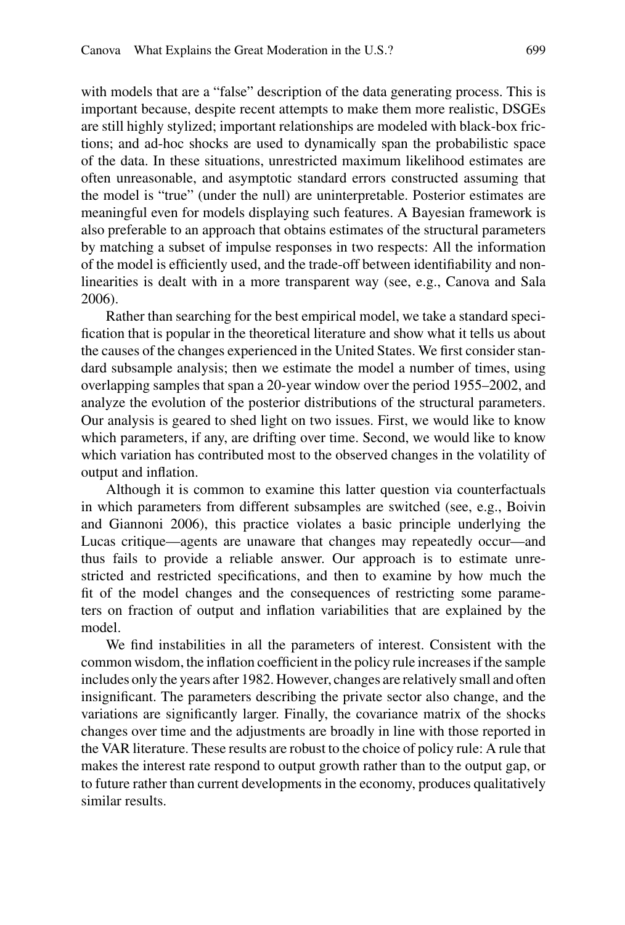with models that are a "false" description of the data generating process. This is important because, despite recent attempts to make them more realistic, DSGEs are still highly stylized; important relationships are modeled with black-box frictions; and ad-hoc shocks are used to dynamically span the probabilistic space of the data. In these situations, unrestricted maximum likelihood estimates are often unreasonable, and asymptotic standard errors constructed assuming that the model is "true" (under the null) are uninterpretable. Posterior estimates are meaningful even for models displaying such features. A Bayesian framework is also preferable to an approach that obtains estimates of the structural parameters by matching a subset of impulse responses in two respects: All the information of the model is efficiently used, and the trade-off between identifiability and nonlinearities is dealt with in a more transparent way (see, e.g., Canova and Sala 2006).

Rather than searching for the best empirical model, we take a standard specification that is popular in the theoretical literature and show what it tells us about the causes of the changes experienced in the United States. We first consider standard subsample analysis; then we estimate the model a number of times, using overlapping samples that span a 20-year window over the period 1955–2002, and analyze the evolution of the posterior distributions of the structural parameters. Our analysis is geared to shed light on two issues. First, we would like to know which parameters, if any, are drifting over time. Second, we would like to know which variation has contributed most to the observed changes in the volatility of output and inflation.

Although it is common to examine this latter question via counterfactuals in which parameters from different subsamples are switched (see, e.g., Boivin and Giannoni 2006), this practice violates a basic principle underlying the Lucas critique—agents are unaware that changes may repeatedly occur—and thus fails to provide a reliable answer. Our approach is to estimate unrestricted and restricted specifications, and then to examine by how much the fit of the model changes and the consequences of restricting some parameters on fraction of output and inflation variabilities that are explained by the model.

We find instabilities in all the parameters of interest. Consistent with the common wisdom, the inflation coefficient in the policy rule increases if the sample includes only the years after 1982. However, changes are relatively small and often insignificant. The parameters describing the private sector also change, and the variations are significantly larger. Finally, the covariance matrix of the shocks changes over time and the adjustments are broadly in line with those reported in the VAR literature. These results are robust to the choice of policy rule: A rule that makes the interest rate respond to output growth rather than to the output gap, or to future rather than current developments in the economy, produces qualitatively similar results.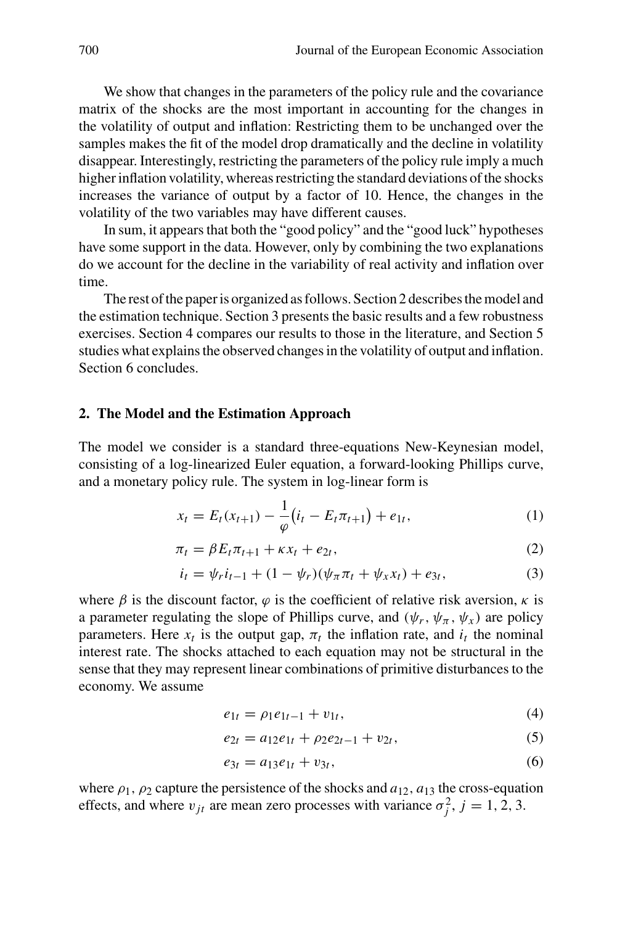We show that changes in the parameters of the policy rule and the covariance matrix of the shocks are the most important in accounting for the changes in the volatility of output and inflation: Restricting them to be unchanged over the samples makes the fit of the model drop dramatically and the decline in volatility disappear. Interestingly, restricting the parameters of the policy rule imply a much higher inflation volatility, whereas restricting the standard deviations of the shocks increases the variance of output by a factor of 10. Hence, the changes in the volatility of the two variables may have different causes.

In sum, it appears that both the "good policy" and the "good luck" hypotheses have some support in the data. However, only by combining the two explanations do we account for the decline in the variability of real activity and inflation over time.

The rest of the paper is organized as follows. Section 2 describes the model and the estimation technique. Section 3 presents the basic results and a few robustness exercises. Section 4 compares our results to those in the literature, and Section 5 studies what explains the observed changes in the volatility of output and inflation. Section 6 concludes.

#### **2. The Model and the Estimation Approach**

The model we consider is a standard three-equations New-Keynesian model, consisting of a log-linearized Euler equation, a forward-looking Phillips curve, and a monetary policy rule. The system in log-linear form is

$$
x_t = E_t(x_{t+1}) - \frac{1}{\varphi} (i_t - E_t \pi_{t+1}) + e_{1t},
$$
\n(1)

$$
\pi_t = \beta E_t \pi_{t+1} + \kappa x_t + e_{2t},\tag{2}
$$

$$
i_t = \psi_r i_{t-1} + (1 - \psi_r)(\psi_\pi \pi_t + \psi_x x_t) + e_{3t}, \tag{3}
$$

where  $\beta$  is the discount factor,  $\varphi$  is the coefficient of relative risk aversion,  $\kappa$  is a parameter regulating the slope of Phillips curve, and  $(\psi_r, \psi_\pi, \psi_x)$  are policy parameters. Here  $x_t$  is the output gap,  $\pi_t$  the inflation rate, and  $i_t$  the nominal interest rate. The shocks attached to each equation may not be structural in the sense that they may represent linear combinations of primitive disturbances to the economy. We assume

$$
e_{1t} = \rho_1 e_{1t-1} + v_{1t}, \tag{4}
$$

$$
e_{2t} = a_{12}e_{1t} + \rho_2 e_{2t-1} + v_{2t}, \tag{5}
$$

$$
e_{3t} = a_{13}e_{1t} + v_{3t}, \t\t(6)
$$

where  $\rho_1$ ,  $\rho_2$  capture the persistence of the shocks and  $a_{12}$ ,  $a_{13}$  the cross-equation effects, and where  $v_{jt}$  are mean zero processes with variance  $\sigma_j^2$ ,  $j = 1, 2, 3$ .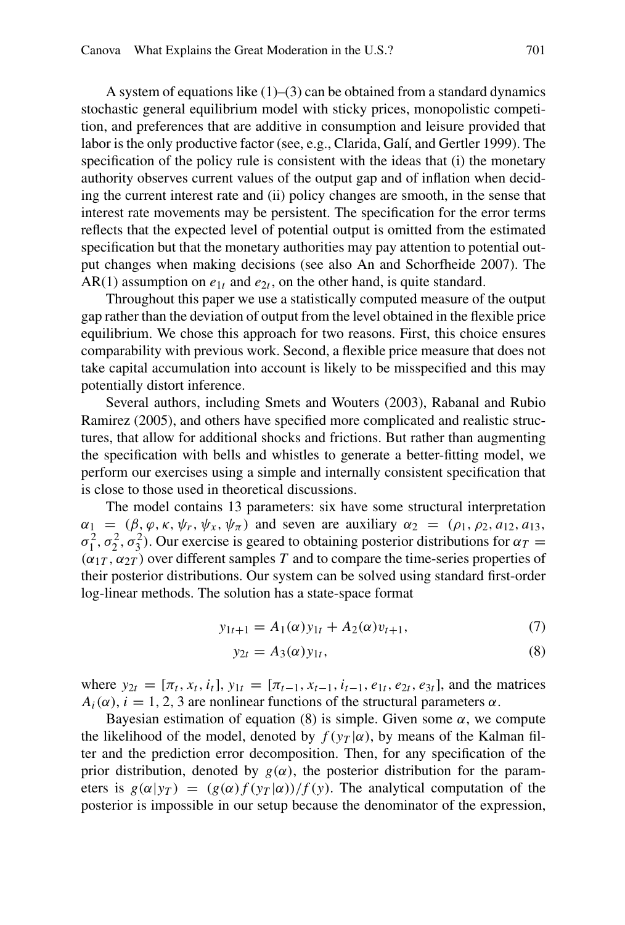A system of equations like  $(1)$ – $(3)$  can be obtained from a standard dynamics stochastic general equilibrium model with sticky prices, monopolistic competition, and preferences that are additive in consumption and leisure provided that labor is the only productive factor (see, e.g., Clarida, Galí, and Gertler 1999). The specification of the policy rule is consistent with the ideas that (i) the monetary authority observes current values of the output gap and of inflation when deciding the current interest rate and (ii) policy changes are smooth, in the sense that interest rate movements may be persistent. The specification for the error terms reflects that the expected level of potential output is omitted from the estimated specification but that the monetary authorities may pay attention to potential output changes when making decisions (see also An and Schorfheide 2007). The AR(1) assumption on  $e_{1t}$  and  $e_{2t}$ , on the other hand, is quite standard.

Throughout this paper we use a statistically computed measure of the output gap rather than the deviation of output from the level obtained in the flexible price equilibrium. We chose this approach for two reasons. First, this choice ensures comparability with previous work. Second, a flexible price measure that does not take capital accumulation into account is likely to be misspecified and this may potentially distort inference.

Several authors, including Smets and Wouters (2003), Rabanal and Rubio Ramirez (2005), and others have specified more complicated and realistic structures, that allow for additional shocks and frictions. But rather than augmenting the specification with bells and whistles to generate a better-fitting model, we perform our exercises using a simple and internally consistent specification that is close to those used in theoretical discussions.

The model contains 13 parameters: six have some structural interpretation  $\alpha_1 = (\beta, \varphi, \kappa, \psi_r, \psi_x, \psi_\pi)$  and seven are auxiliary  $\alpha_2 = (\rho_1, \rho_2, a_{12}, a_{13}, \psi_\pi)$ *σ*<sub>1</sub><sup>2</sup>, *σ*<sub>2</sub><sup>2</sup>, *σ*<sub>3</sub><sup>2</sup>). Our exercise is geared to obtaining posterior distributions for *αT* =  $(\alpha_{1T}, \alpha_{2T})$  over different samples *T* and to compare the time-series properties of their posterior distributions. Our system can be solved using standard first-order log-linear methods. The solution has a state-space format

$$
y_{1t+1} = A_1(\alpha)y_{1t} + A_2(\alpha)v_{t+1},
$$
\n(7)

$$
y_{2t} = A_3(\alpha)y_{1t},\tag{8}
$$

where  $y_{2t} = [\pi_t, x_t, i_t]$ ,  $y_{1t} = [\pi_{t-1}, x_{t-1}, i_{t-1}, e_{1t}, e_{2t}, e_{3t}]$ , and the matrices  $A_i(\alpha)$ ,  $i = 1, 2, 3$  are nonlinear functions of the structural parameters  $\alpha$ .

Bayesian estimation of equation (8) is simple. Given some  $\alpha$ , we compute the likelihood of the model, denoted by  $f(y_T|\alpha)$ , by means of the Kalman filter and the prediction error decomposition. Then, for any specification of the prior distribution, denoted by  $g(\alpha)$ , the posterior distribution for the parameters is  $g(\alpha|y_T) = (g(\alpha)f(y_T|\alpha))/f(y)$ . The analytical computation of the posterior is impossible in our setup because the denominator of the expression,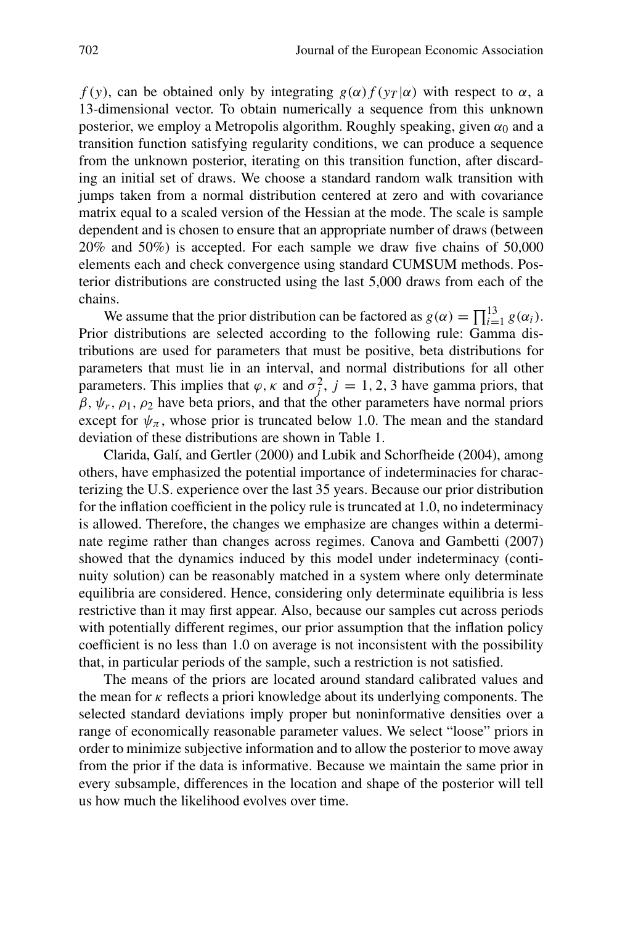*f(y)*, can be obtained only by integrating  $g(\alpha) f(y_T|\alpha)$  with respect to  $\alpha$ , a 13-dimensional vector. To obtain numerically a sequence from this unknown posterior, we employ a Metropolis algorithm. Roughly speaking, given  $\alpha_0$  and a transition function satisfying regularity conditions, we can produce a sequence from the unknown posterior, iterating on this transition function, after discarding an initial set of draws. We choose a standard random walk transition with jumps taken from a normal distribution centered at zero and with covariance matrix equal to a scaled version of the Hessian at the mode. The scale is sample dependent and is chosen to ensure that an appropriate number of draws (between 20% and 50%) is accepted. For each sample we draw five chains of 50,000 elements each and check convergence using standard CUMSUM methods. Posterior distributions are constructed using the last 5,000 draws from each of the chains.

We assume that the prior distribution can be factored as  $g(\alpha) = \prod_{i=1}^{13} g(\alpha_i)$ . Prior distributions are selected according to the following rule: Gamma distributions are used for parameters that must be positive, beta distributions for parameters that must lie in an interval, and normal distributions for all other parameters. This implies that  $\varphi$ ,  $\kappa$  and  $\sigma_j^2$ ,  $j = 1, 2, 3$  have gamma priors, that  $\beta$ ,  $\psi_r$ ,  $\rho_1$ ,  $\rho_2$  have beta priors, and that the other parameters have normal priors except for  $\psi_{\pi}$ , whose prior is truncated below 1.0. The mean and the standard deviation of these distributions are shown in Table 1.

Clarida, Galí, and Gertler (2000) and Lubik and Schorfheide (2004), among others, have emphasized the potential importance of indeterminacies for characterizing the U.S. experience over the last 35 years. Because our prior distribution for the inflation coefficient in the policy rule is truncated at 1.0, no indeterminacy is allowed. Therefore, the changes we emphasize are changes within a determinate regime rather than changes across regimes. Canova and Gambetti (2007) showed that the dynamics induced by this model under indeterminacy (continuity solution) can be reasonably matched in a system where only determinate equilibria are considered. Hence, considering only determinate equilibria is less restrictive than it may first appear. Also, because our samples cut across periods with potentially different regimes, our prior assumption that the inflation policy coefficient is no less than 1.0 on average is not inconsistent with the possibility that, in particular periods of the sample, such a restriction is not satisfied.

The means of the priors are located around standard calibrated values and the mean for *κ* reflects a priori knowledge about its underlying components. The selected standard deviations imply proper but noninformative densities over a range of economically reasonable parameter values. We select "loose" priors in order to minimize subjective information and to allow the posterior to move away from the prior if the data is informative. Because we maintain the same prior in every subsample, differences in the location and shape of the posterior will tell us how much the likelihood evolves over time.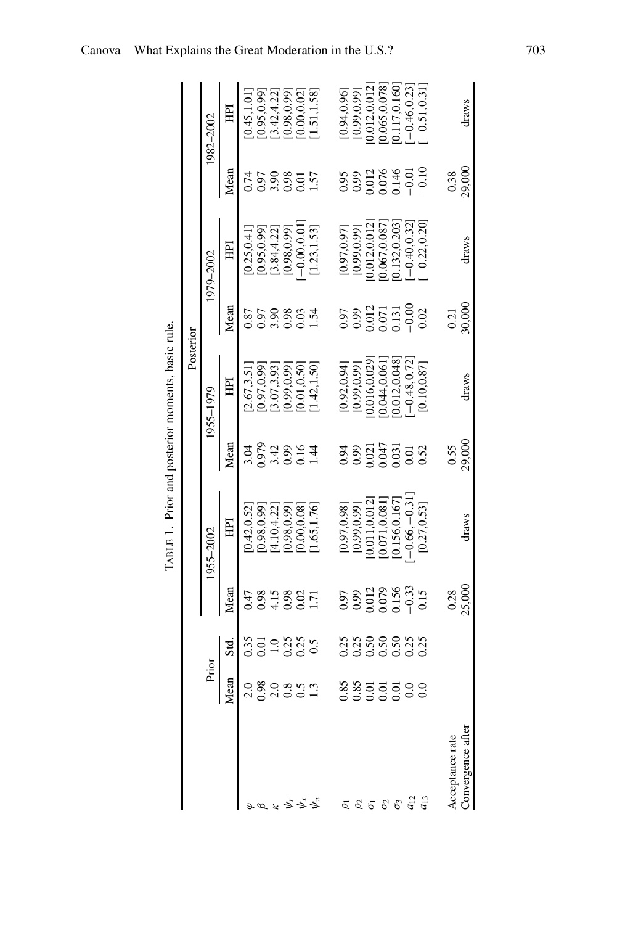|                                                                                                                                           |                     |                                     |                                          | TABLE 1. Prior and posterior moments, basic rule. |                                 |                                  |                                         |                                    |                                                                            |                |
|-------------------------------------------------------------------------------------------------------------------------------------------|---------------------|-------------------------------------|------------------------------------------|---------------------------------------------------|---------------------------------|----------------------------------|-----------------------------------------|------------------------------------|----------------------------------------------------------------------------|----------------|
|                                                                                                                                           |                     |                                     |                                          |                                                   |                                 | Posterior                        |                                         |                                    |                                                                            |                |
|                                                                                                                                           | Prior               |                                     |                                          | 1955–2002                                         |                                 | 1955–1979                        |                                         | 1979-2002                          |                                                                            | 1982-2002      |
|                                                                                                                                           | Mean                | Std.                                | Mean                                     | 囯                                                 | Mean                            | 目                                | Mean                                    | E                                  | Mean                                                                       | 囯              |
|                                                                                                                                           | 2.0                 | 0.35                                | 0.47                                     | 0.42, 0.52                                        | 3.04                            | 2.67,3.51                        | 0.87                                    | 0.25.0.41                          | 0.74                                                                       | 0.45, 1.01     |
|                                                                                                                                           |                     |                                     |                                          | 0.98,0.99                                         | 0.979                           | 0.97,0.99                        |                                         | 0.95, 0.99                         | 0.98<br>0.98<br>0.57<br>1.57                                               | 0.95, 0.99     |
|                                                                                                                                           | $\frac{0.98}{2.0}$  | $\frac{0.01}{1.0}$                  | 8.458<br>0.45                            | 4.10, 4.22                                        |                                 | 3.07,3.93                        |                                         | [3.84, 4.22]                       |                                                                            | 3.42, 4.22     |
|                                                                                                                                           |                     |                                     |                                          | 0.98,0.99                                         |                                 | 0.99,0.99                        |                                         | [0.98, 0.99]                       |                                                                            | 0.98,0.99]     |
|                                                                                                                                           |                     | 239<br>239                          | $\frac{02}{1.71}$                        | 0.00, 0.08                                        | $3894$<br>$3894$                | 0.01, 0.50                       | 57888<br>0.888                          | $-0.00, 0.01$                      |                                                                            | [0.00, 0.02]   |
| $x \nless x$                                                                                                                              |                     |                                     |                                          | 1.65, 1.76]                                       |                                 | 1.42, 1.50                       | 1.54                                    | [1.23, 1.53]                       |                                                                            | [1.51, 1.58]   |
|                                                                                                                                           |                     |                                     |                                          |                                                   |                                 |                                  |                                         |                                    |                                                                            |                |
|                                                                                                                                           |                     |                                     |                                          | [0.97, 0.98]                                      |                                 |                                  |                                         | [0.97, 0.97]                       |                                                                            | [0.94, 0.96]   |
|                                                                                                                                           |                     |                                     |                                          | [0.99, 0.99]                                      | 0.94                            | $[0.92, 0.94]$<br>$[0.99, 0.99]$ |                                         | [0.99, 0.99]                       | 0.95                                                                       | [0.99, 0.99]   |
|                                                                                                                                           | 88855588<br>8885558 | ង ង ទី ទី ទី ង ង<br>១ ១ ១ ១ ១ ១ ១ ១ | 0.97<br>0.0012<br>0.0156<br>0.15<br>0.15 | 0.011,0.012                                       |                                 | 0.016,0.029                      | 97<br>0.9812<br>0.0131<br>0.000<br>0.00 | 0.012,0.012                        | $\begin{array}{c} 0.012 \\ 0.076 \\ 0.146 \\ -0.101 \\ -0.101 \end{array}$ | 0.012,0.012    |
|                                                                                                                                           |                     |                                     |                                          | 0.071,0.081                                       | 0.021<br>0.047<br>0.031<br>0.52 | 0.044,0.061                      |                                         | 0.067,0.087                        |                                                                            | 0.065,0.078    |
|                                                                                                                                           |                     |                                     |                                          | 0.156,0.167                                       |                                 | 0.12,0.048                       |                                         | 0.132,0.203                        |                                                                            | 0.117,0.160]   |
|                                                                                                                                           |                     |                                     |                                          | $-0.66, -0.31$                                    |                                 | $-0.48, 0.72$                    |                                         |                                    |                                                                            | $-0.46, 0.23$  |
| $\begin{array}{ccc} \bar{c} & c & c \\ \bar{c} & \bar{c} & \bar{c} & c \\ \bar{c} & \bar{c} & \bar{c} & \bar{c} & \bar{c} \\ \end{array}$ |                     |                                     |                                          | [0.27, 0.53]                                      |                                 | [0.10, 0.87]                     |                                         | $[-0.40, 0.32]$<br>$[-0.22, 0.20]$ |                                                                            | $-0.51, 0.31]$ |
|                                                                                                                                           |                     |                                     |                                          |                                                   |                                 |                                  |                                         |                                    |                                                                            |                |
| Acceptance rate                                                                                                                           |                     |                                     | $0.28$<br>$25,000$                       |                                                   | $\frac{0.55}{29,000}$           |                                  | $\frac{0.21}{30,000}$                   |                                    | $0.38$<br>29,000                                                           |                |
| Convergence after                                                                                                                         |                     |                                     |                                          | draws                                             |                                 | draws                            |                                         | draws                              |                                                                            | draws          |

TABLE 1. Prior and posterior moments, basic rule.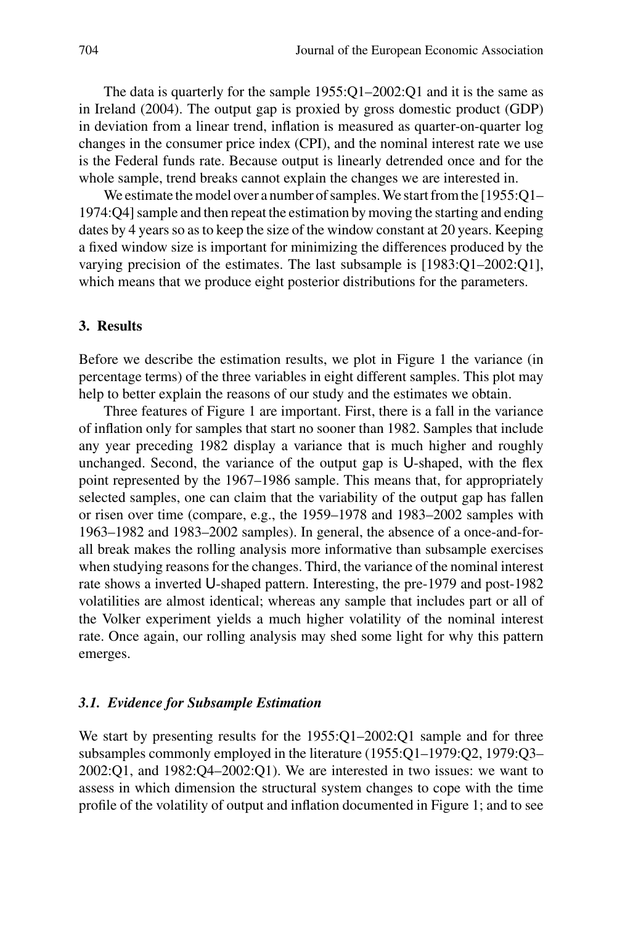The data is quarterly for the sample 1955:Q1–2002:Q1 and it is the same as in Ireland (2004). The output gap is proxied by gross domestic product (GDP) in deviation from a linear trend, inflation is measured as quarter-on-quarter log changes in the consumer price index (CPI), and the nominal interest rate we use is the Federal funds rate. Because output is linearly detrended once and for the whole sample, trend breaks cannot explain the changes we are interested in.

We estimate the model over a number of samples. We start from the [1955:Q1-1974:Q4] sample and then repeat the estimation by moving the starting and ending dates by 4 years so as to keep the size of the window constant at 20 years. Keeping a fixed window size is important for minimizing the differences produced by the varying precision of the estimates. The last subsample is [1983:Q1–2002:Q1], which means that we produce eight posterior distributions for the parameters.

# **3. Results**

Before we describe the estimation results, we plot in Figure 1 the variance (in percentage terms) of the three variables in eight different samples. This plot may help to better explain the reasons of our study and the estimates we obtain.

Three features of Figure 1 are important. First, there is a fall in the variance of inflation only for samples that start no sooner than 1982. Samples that include any year preceding 1982 display a variance that is much higher and roughly unchanged. Second, the variance of the output gap is U-shaped, with the flex point represented by the 1967–1986 sample. This means that, for appropriately selected samples, one can claim that the variability of the output gap has fallen or risen over time (compare, e.g., the 1959–1978 and 1983–2002 samples with 1963–1982 and 1983–2002 samples). In general, the absence of a once-and-forall break makes the rolling analysis more informative than subsample exercises when studying reasons for the changes. Third, the variance of the nominal interest rate shows a inverted U-shaped pattern. Interesting, the pre-1979 and post-1982 volatilities are almost identical; whereas any sample that includes part or all of the Volker experiment yields a much higher volatility of the nominal interest rate. Once again, our rolling analysis may shed some light for why this pattern emerges.

## *3.1. Evidence for Subsample Estimation*

We start by presenting results for the 1955:Q1-2002:Q1 sample and for three subsamples commonly employed in the literature (1955:Q1–1979:Q2, 1979:Q3–  $2002:Q1$ , and  $1982:Q4-2002:Q1$ ). We are interested in two issues: we want to assess in which dimension the structural system changes to cope with the time profile of the volatility of output and inflation documented in Figure 1; and to see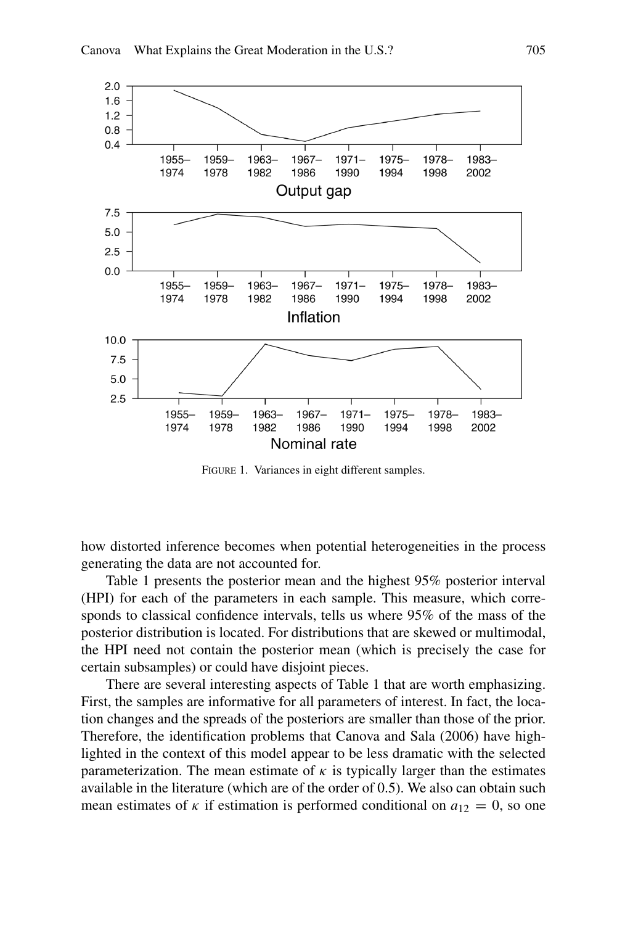

FIGURE 1. Variances in eight different samples.

how distorted inference becomes when potential heterogeneities in the process generating the data are not accounted for.

Table 1 presents the posterior mean and the highest 95% posterior interval (HPI) for each of the parameters in each sample. This measure, which corresponds to classical confidence intervals, tells us where 95% of the mass of the posterior distribution is located. For distributions that are skewed or multimodal, the HPI need not contain the posterior mean (which is precisely the case for certain subsamples) or could have disjoint pieces.

There are several interesting aspects of Table 1 that are worth emphasizing. First, the samples are informative for all parameters of interest. In fact, the location changes and the spreads of the posteriors are smaller than those of the prior. Therefore, the identification problems that Canova and Sala (2006) have highlighted in the context of this model appear to be less dramatic with the selected parameterization. The mean estimate of  $\kappa$  is typically larger than the estimates available in the literature (which are of the order of 0.5). We also can obtain such mean estimates of *κ* if estimation is performed conditional on  $a_{12} = 0$ , so one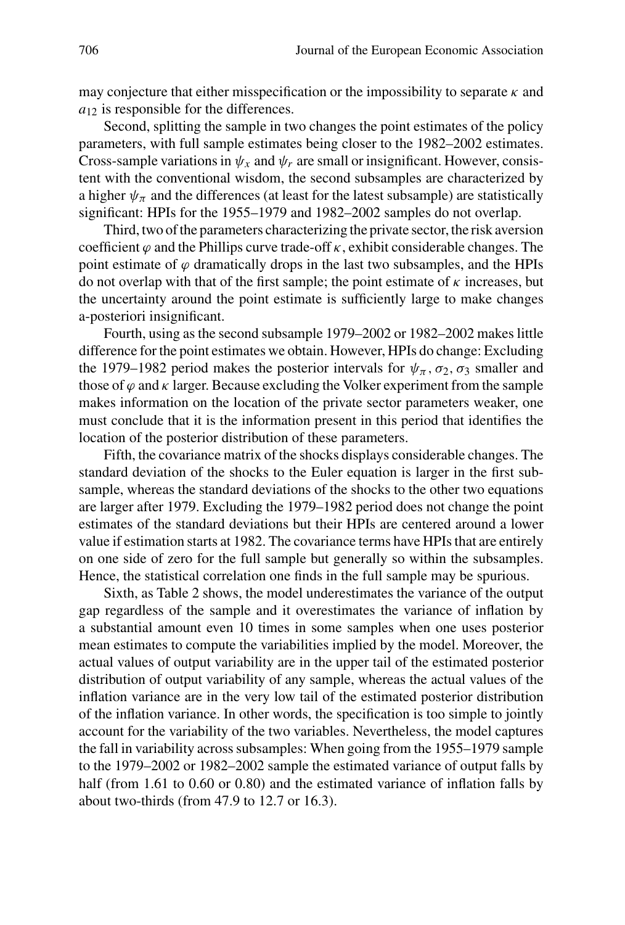may conjecture that either misspecification or the impossibility to separate *κ* and  $a_{12}$  is responsible for the differences.

Second, splitting the sample in two changes the point estimates of the policy parameters, with full sample estimates being closer to the 1982–2002 estimates. Cross-sample variations in  $\psi_x$  and  $\psi_r$  are small or insignificant. However, consistent with the conventional wisdom, the second subsamples are characterized by a higher  $\psi_{\pi}$  and the differences (at least for the latest subsample) are statistically significant: HPIs for the 1955–1979 and 1982–2002 samples do not overlap.

Third, two of the parameters characterizing the private sector, the risk aversion coefficient  $\varphi$  and the Phillips curve trade-off  $\kappa$ , exhibit considerable changes. The point estimate of  $\varphi$  dramatically drops in the last two subsamples, and the HPIs do not overlap with that of the first sample; the point estimate of *κ* increases, but the uncertainty around the point estimate is sufficiently large to make changes a-posteriori insignificant.

Fourth, using as the second subsample 1979–2002 or 1982–2002 makes little difference for the point estimates we obtain. However, HPIs do change: Excluding the 1979–1982 period makes the posterior intervals for  $\psi_{\pi}$ ,  $\sigma_2$ ,  $\sigma_3$  smaller and those of  $\varphi$  and  $\kappa$  larger. Because excluding the Volker experiment from the sample makes information on the location of the private sector parameters weaker, one must conclude that it is the information present in this period that identifies the location of the posterior distribution of these parameters.

Fifth, the covariance matrix of the shocks displays considerable changes. The standard deviation of the shocks to the Euler equation is larger in the first subsample, whereas the standard deviations of the shocks to the other two equations are larger after 1979. Excluding the 1979–1982 period does not change the point estimates of the standard deviations but their HPIs are centered around a lower value if estimation starts at 1982. The covariance terms have HPIs that are entirely on one side of zero for the full sample but generally so within the subsamples. Hence, the statistical correlation one finds in the full sample may be spurious.

Sixth, as Table 2 shows, the model underestimates the variance of the output gap regardless of the sample and it overestimates the variance of inflation by a substantial amount even 10 times in some samples when one uses posterior mean estimates to compute the variabilities implied by the model. Moreover, the actual values of output variability are in the upper tail of the estimated posterior distribution of output variability of any sample, whereas the actual values of the inflation variance are in the very low tail of the estimated posterior distribution of the inflation variance. In other words, the specification is too simple to jointly account for the variability of the two variables. Nevertheless, the model captures the fall in variability across subsamples: When going from the 1955–1979 sample to the 1979–2002 or 1982–2002 sample the estimated variance of output falls by half (from 1.61 to 0.60 or 0.80) and the estimated variance of inflation falls by about two-thirds (from 47.9 to 12.7 or 16.3).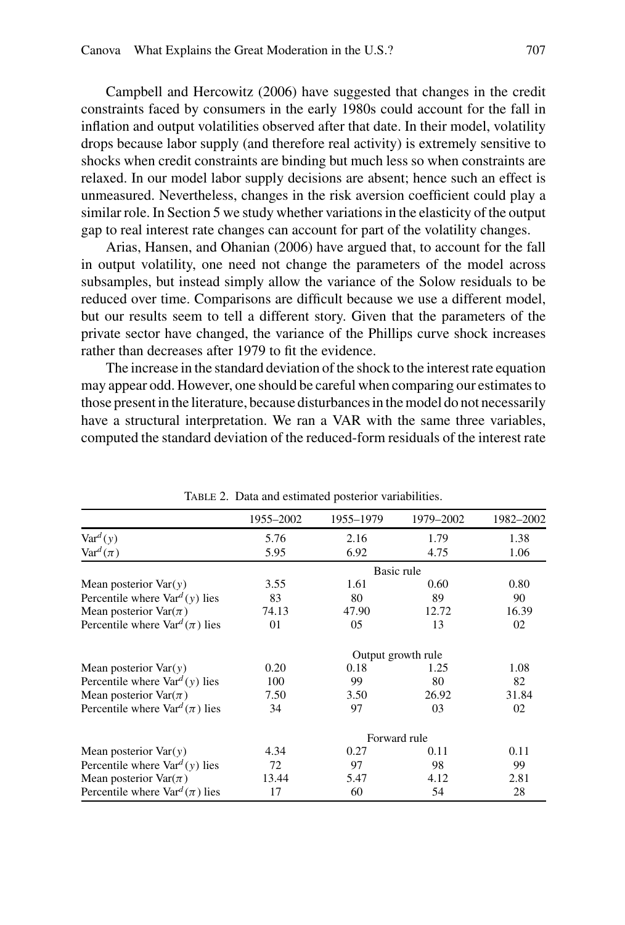Campbell and Hercowitz (2006) have suggested that changes in the credit constraints faced by consumers in the early 1980s could account for the fall in inflation and output volatilities observed after that date. In their model, volatility drops because labor supply (and therefore real activity) is extremely sensitive to shocks when credit constraints are binding but much less so when constraints are relaxed. In our model labor supply decisions are absent; hence such an effect is unmeasured. Nevertheless, changes in the risk aversion coefficient could play a similar role. In Section 5 we study whether variations in the elasticity of the output gap to real interest rate changes can account for part of the volatility changes.

Arias, Hansen, and Ohanian (2006) have argued that, to account for the fall in output volatility, one need not change the parameters of the model across subsamples, but instead simply allow the variance of the Solow residuals to be reduced over time. Comparisons are difficult because we use a different model, but our results seem to tell a different story. Given that the parameters of the private sector have changed, the variance of the Phillips curve shock increases rather than decreases after 1979 to fit the evidence.

The increase in the standard deviation of the shock to the interest rate equation may appear odd. However, one should be careful when comparing our estimates to those present in the literature, because disturbances in the model do not necessarily have a structural interpretation. We ran a VAR with the same three variables, computed the standard deviation of the reduced-form residuals of the interest rate

|                                           | 1955-2002 | 1955-1979 | 1979–2002          | 1982–2002 |
|-------------------------------------------|-----------|-----------|--------------------|-----------|
| $\text{Var}^d(y)$                         | 5.76      | 2.16      | 1.79               | 1.38      |
| $\text{Var}^d(\pi)$                       | 5.95      | 6.92      | 4.75               | 1.06      |
|                                           |           |           | Basic rule         |           |
| Mean posterior $Var(y)$                   | 3.55      | 1.61      | 0.60               | 0.80      |
| Percentile where $\text{Var}^d(y)$ lies   | 83        | 80        | 89                 | 90        |
| Mean posterior $Var(\pi)$                 | 74.13     | 47.90     | 12.72              | 16.39     |
| Percentile where $\text{Var}^d(\pi)$ lies | 01        | 05        | 13                 | 02        |
|                                           |           |           | Output growth rule |           |
| Mean posterior $Var(y)$                   | 0.20      | 0.18      | 1.25               | 1.08      |
| Percentile where $\text{Var}^d(y)$ lies   | 100       | 99        | 80                 | 82        |
| Mean posterior $\text{Var}(\pi)$          | 7.50      | 3.50      | 26.92              | 31.84     |
| Percentile where $\text{Var}^d(\pi)$ lies | 34        | 97        | 03                 | 02        |
|                                           |           |           | Forward rule       |           |
| Mean posterior $Var(y)$                   | 4.34      | 0.27      | 0.11               | 0.11      |
| Percentile where $\text{Var}^d(y)$ lies   | 72        | 97        | 98                 | 99        |
| Mean posterior $\text{Var}(\pi)$          | 13.44     | 5.47      | 4.12               | 2.81      |
| Percentile where $\text{Var}^d(\pi)$ lies | 17        | 60        | 54                 | 28        |

Table 2. Data and estimated posterior variabilities.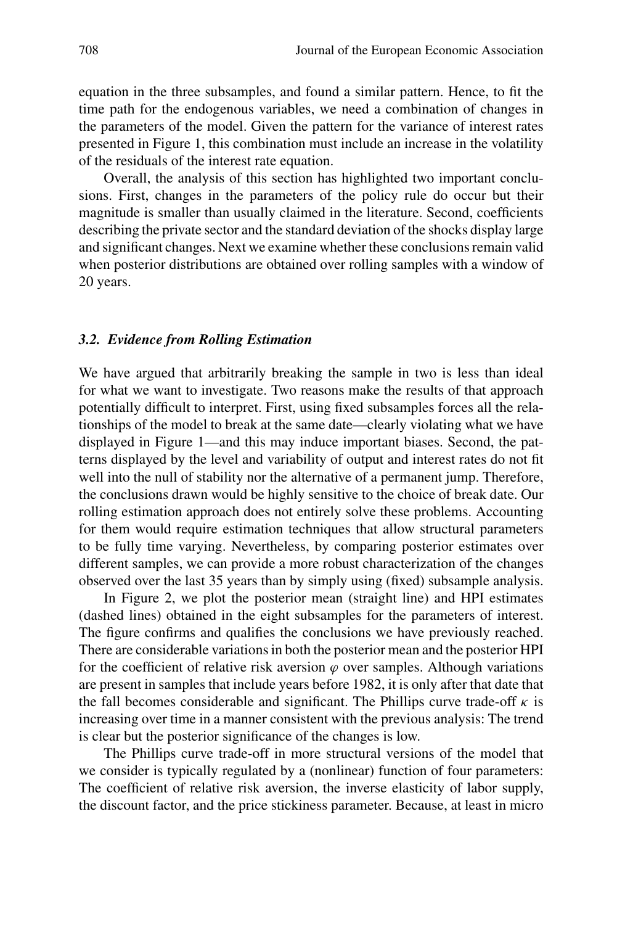equation in the three subsamples, and found a similar pattern. Hence, to fit the time path for the endogenous variables, we need a combination of changes in the parameters of the model. Given the pattern for the variance of interest rates presented in Figure 1, this combination must include an increase in the volatility of the residuals of the interest rate equation.

Overall, the analysis of this section has highlighted two important conclusions. First, changes in the parameters of the policy rule do occur but their magnitude is smaller than usually claimed in the literature. Second, coefficients describing the private sector and the standard deviation of the shocks display large and significant changes. Next we examine whether these conclusions remain valid when posterior distributions are obtained over rolling samples with a window of 20 years.

#### *3.2. Evidence from Rolling Estimation*

We have argued that arbitrarily breaking the sample in two is less than ideal for what we want to investigate. Two reasons make the results of that approach potentially difficult to interpret. First, using fixed subsamples forces all the relationships of the model to break at the same date—clearly violating what we have displayed in Figure 1—and this may induce important biases. Second, the patterns displayed by the level and variability of output and interest rates do not fit well into the null of stability nor the alternative of a permanent jump. Therefore, the conclusions drawn would be highly sensitive to the choice of break date. Our rolling estimation approach does not entirely solve these problems. Accounting for them would require estimation techniques that allow structural parameters to be fully time varying. Nevertheless, by comparing posterior estimates over different samples, we can provide a more robust characterization of the changes observed over the last 35 years than by simply using (fixed) subsample analysis.

In Figure 2, we plot the posterior mean (straight line) and HPI estimates (dashed lines) obtained in the eight subsamples for the parameters of interest. The figure confirms and qualifies the conclusions we have previously reached. There are considerable variations in both the posterior mean and the posterior HPI for the coefficient of relative risk aversion  $\varphi$  over samples. Although variations are present in samples that include years before 1982, it is only after that date that the fall becomes considerable and significant. The Phillips curve trade-off  $\kappa$  is increasing over time in a manner consistent with the previous analysis: The trend is clear but the posterior significance of the changes is low.

The Phillips curve trade-off in more structural versions of the model that we consider is typically regulated by a (nonlinear) function of four parameters: The coefficient of relative risk aversion, the inverse elasticity of labor supply, the discount factor, and the price stickiness parameter. Because, at least in micro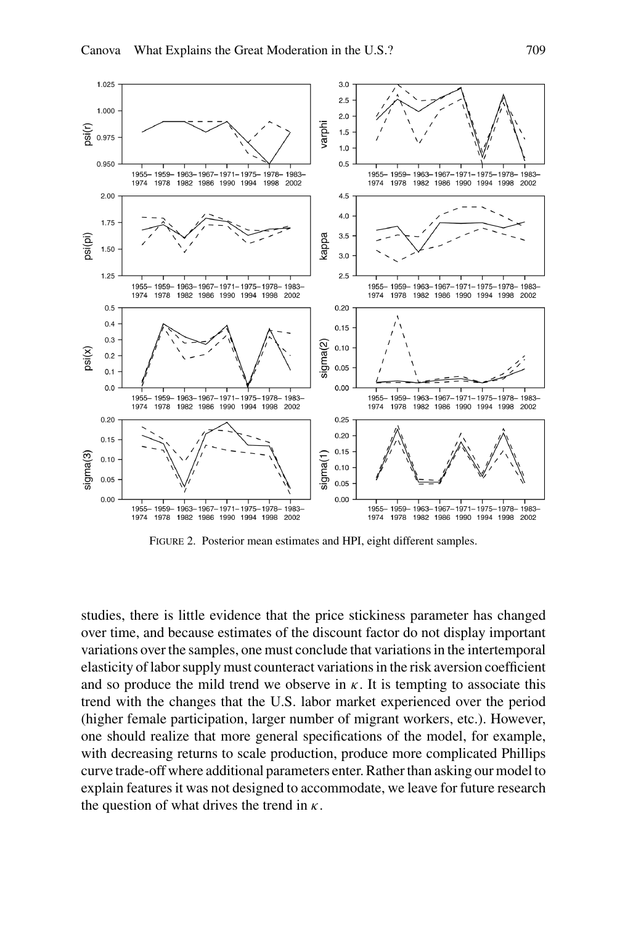

Figure 2. Posterior mean estimates and HPI, eight different samples.

studies, there is little evidence that the price stickiness parameter has changed over time, and because estimates of the discount factor do not display important variations over the samples, one must conclude that variations in the intertemporal elasticity of labor supply must counteract variations in the risk aversion coefficient and so produce the mild trend we observe in  $\kappa$ . It is tempting to associate this trend with the changes that the U.S. labor market experienced over the period (higher female participation, larger number of migrant workers, etc.). However, one should realize that more general specifications of the model, for example, with decreasing returns to scale production, produce more complicated Phillips curve trade-off where additional parameters enter. Rather than asking our model to explain features it was not designed to accommodate, we leave for future research the question of what drives the trend in *κ*.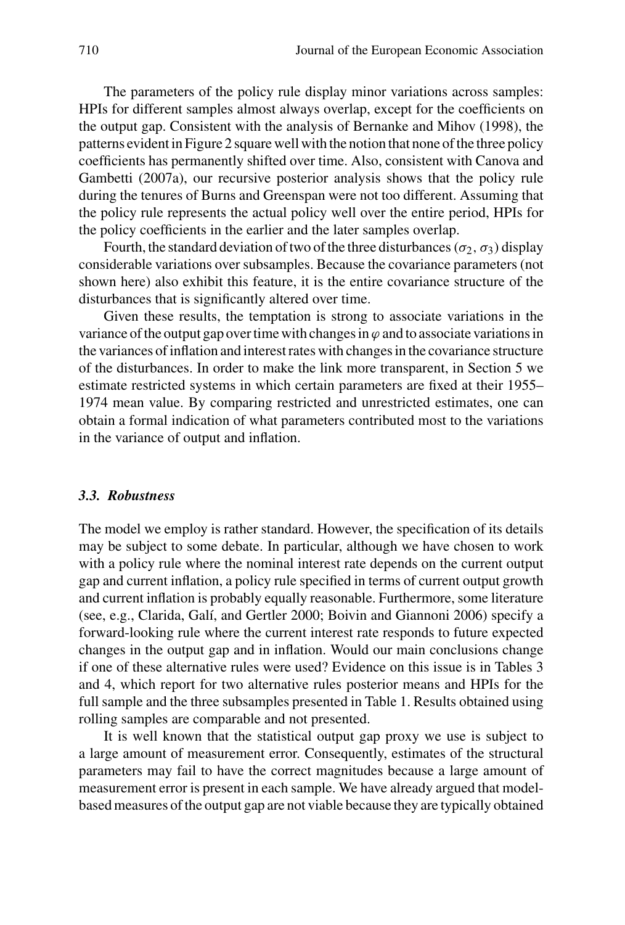The parameters of the policy rule display minor variations across samples: HPIs for different samples almost always overlap, except for the coefficients on the output gap. Consistent with the analysis of Bernanke and Mihov (1998), the patterns evident in Figure 2 square well with the notion that none of the three policy coefficients has permanently shifted over time. Also, consistent with Canova and Gambetti (2007a), our recursive posterior analysis shows that the policy rule during the tenures of Burns and Greenspan were not too different. Assuming that the policy rule represents the actual policy well over the entire period, HPIs for the policy coefficients in the earlier and the later samples overlap.

Fourth, the standard deviation of two of the three disturbances  $(\sigma_2, \sigma_3)$  display considerable variations over subsamples. Because the covariance parameters (not shown here) also exhibit this feature, it is the entire covariance structure of the disturbances that is significantly altered over time.

Given these results, the temptation is strong to associate variations in the variance of the output gap over time with changes in  $\varphi$  and to associate variations in the variances of inflation and interest rates with changes in the covariance structure of the disturbances. In order to make the link more transparent, in Section 5 we estimate restricted systems in which certain parameters are fixed at their 1955– 1974 mean value. By comparing restricted and unrestricted estimates, one can obtain a formal indication of what parameters contributed most to the variations in the variance of output and inflation.

## *3.3. Robustness*

The model we employ is rather standard. However, the specification of its details may be subject to some debate. In particular, although we have chosen to work with a policy rule where the nominal interest rate depends on the current output gap and current inflation, a policy rule specified in terms of current output growth and current inflation is probably equally reasonable. Furthermore, some literature (see, e.g., Clarida, Galí, and Gertler 2000; Boivin and Giannoni 2006) specify a forward-looking rule where the current interest rate responds to future expected changes in the output gap and in inflation. Would our main conclusions change if one of these alternative rules were used? Evidence on this issue is in Tables 3 and 4, which report for two alternative rules posterior means and HPIs for the full sample and the three subsamples presented in Table 1. Results obtained using rolling samples are comparable and not presented.

It is well known that the statistical output gap proxy we use is subject to a large amount of measurement error. Consequently, estimates of the structural parameters may fail to have the correct magnitudes because a large amount of measurement error is present in each sample. We have already argued that modelbased measures of the output gap are not viable because they are typically obtained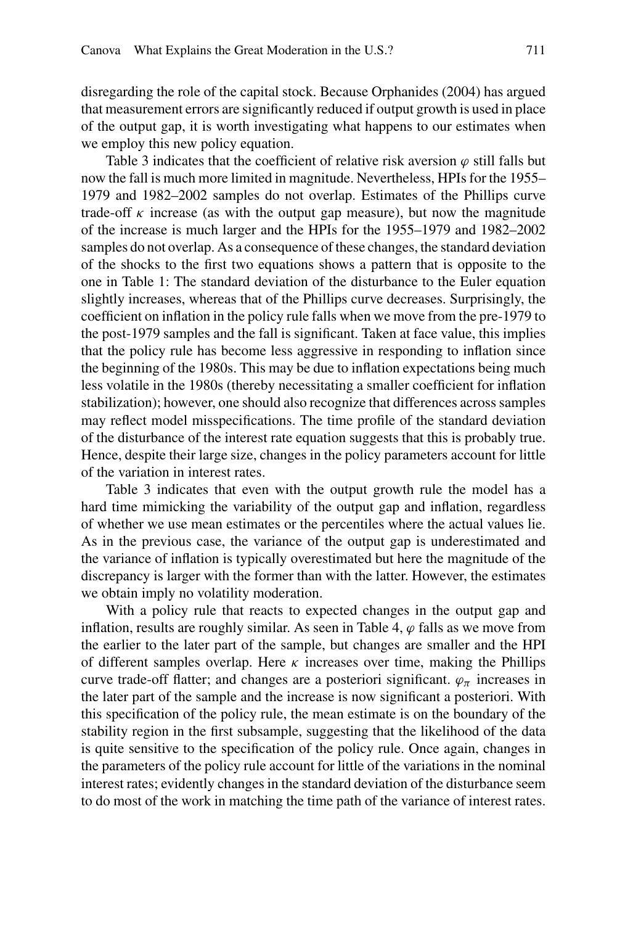disregarding the role of the capital stock. Because Orphanides (2004) has argued that measurement errors are significantly reduced if output growth is used in place of the output gap, it is worth investigating what happens to our estimates when we employ this new policy equation.

Table 3 indicates that the coefficient of relative risk aversion  $\varphi$  still falls but now the fall is much more limited in magnitude. Nevertheless, HPIs for the 1955– 1979 and 1982–2002 samples do not overlap. Estimates of the Phillips curve trade-off  $\kappa$  increase (as with the output gap measure), but now the magnitude of the increase is much larger and the HPIs for the 1955–1979 and 1982–2002 samples do not overlap. As a consequence of these changes, the standard deviation of the shocks to the first two equations shows a pattern that is opposite to the one in Table 1: The standard deviation of the disturbance to the Euler equation slightly increases, whereas that of the Phillips curve decreases. Surprisingly, the coefficient on inflation in the policy rule falls when we move from the pre-1979 to the post-1979 samples and the fall is significant. Taken at face value, this implies that the policy rule has become less aggressive in responding to inflation since the beginning of the 1980s. This may be due to inflation expectations being much less volatile in the 1980s (thereby necessitating a smaller coefficient for inflation stabilization); however, one should also recognize that differences across samples may reflect model misspecifications. The time profile of the standard deviation of the disturbance of the interest rate equation suggests that this is probably true. Hence, despite their large size, changes in the policy parameters account for little of the variation in interest rates.

Table 3 indicates that even with the output growth rule the model has a hard time mimicking the variability of the output gap and inflation, regardless of whether we use mean estimates or the percentiles where the actual values lie. As in the previous case, the variance of the output gap is underestimated and the variance of inflation is typically overestimated but here the magnitude of the discrepancy is larger with the former than with the latter. However, the estimates we obtain imply no volatility moderation.

With a policy rule that reacts to expected changes in the output gap and inflation, results are roughly similar. As seen in Table 4,  $\varphi$  falls as we move from the earlier to the later part of the sample, but changes are smaller and the HPI of different samples overlap. Here  $\kappa$  increases over time, making the Phillips curve trade-off flatter; and changes are a posteriori significant.  $\varphi_{\pi}$  increases in the later part of the sample and the increase is now significant a posteriori. With this specification of the policy rule, the mean estimate is on the boundary of the stability region in the first subsample, suggesting that the likelihood of the data is quite sensitive to the specification of the policy rule. Once again, changes in the parameters of the policy rule account for little of the variations in the nominal interest rates; evidently changes in the standard deviation of the disturbance seem to do most of the work in matching the time path of the variance of interest rates.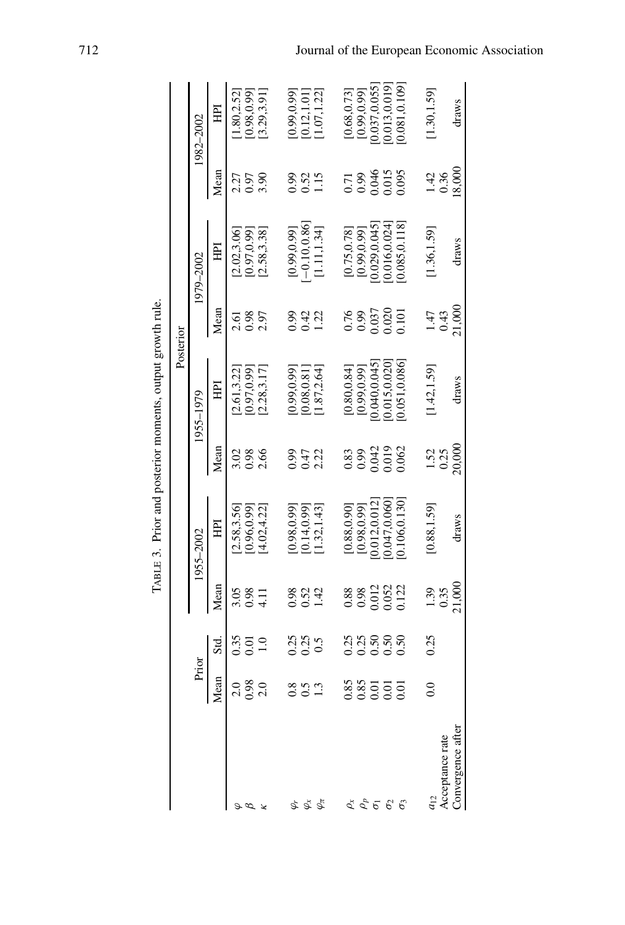|                                                                                                                                                                                                                                                                                                                     |                    |                                             |                               | TABLE 3. Prior and posterior moments, output growth rule. |                      |              |                                                                         |                                  |                                         |                |
|---------------------------------------------------------------------------------------------------------------------------------------------------------------------------------------------------------------------------------------------------------------------------------------------------------------------|--------------------|---------------------------------------------|-------------------------------|-----------------------------------------------------------|----------------------|--------------|-------------------------------------------------------------------------|----------------------------------|-----------------------------------------|----------------|
|                                                                                                                                                                                                                                                                                                                     |                    |                                             |                               |                                                           |                      |              | Posterior                                                               |                                  |                                         |                |
|                                                                                                                                                                                                                                                                                                                     | Prior              |                                             |                               | 1955–2002                                                 |                      | 1955-1979    |                                                                         | 1979–2002                        |                                         | 1982–2002      |
|                                                                                                                                                                                                                                                                                                                     | Mean               | Sid                                         | Mean                          | 呂                                                         | Mean                 | 臣            | Mean                                                                    | 呂                                | Mean                                    | 囯              |
|                                                                                                                                                                                                                                                                                                                     | $\frac{0}{2}$      | $\begin{array}{c} 0.35 \\ 0.01 \end{array}$ | 3.05                          | 2.58,3.56]                                                | 3.02                 | 2.61,3.22    | 2.61                                                                    | 2.02,3.06                        | 2.35<br>0.97<br>3.90                    | 1.80,2.52      |
|                                                                                                                                                                                                                                                                                                                     | $\frac{0.98}{2.0}$ |                                             | $0.98$<br>4.11                | 0.96,0.99                                                 | 0.98                 | 0.97,0.99    | $0.98$<br>$2.97$                                                        | [0.97, 0.99]                     |                                         | [0.98, 0.99]   |
|                                                                                                                                                                                                                                                                                                                     |                    | 1.0                                         |                               | 4.02, 4.22                                                | 2.66                 | 2.28,3.17    |                                                                         | [2.58, 3.38]                     |                                         | [3.29, 3.91]   |
| Ġ,                                                                                                                                                                                                                                                                                                                  |                    |                                             |                               | [0.98, 0.99]                                              | 6.0                  | 0.99,0.99]   | 0.99                                                                    | [0.99, 0.99]                     | 66.0                                    | 0.99, 0.99     |
| $\varphi_\mathrm{x}$                                                                                                                                                                                                                                                                                                | $\overline{0.5}$   | 0.25<br>0.50                                | 8 8 9<br>0 9 9<br>1 9         | [0.14, 0.99]                                              | 0.47                 | 0.08, 0.81   | 0.42                                                                    | $-0.10, 0.86$                    | $0.52$<br>1.15                          | $0.12, 1.01$ ] |
| $\varphi_\pi$                                                                                                                                                                                                                                                                                                       | 1.3                |                                             |                               | [1.32, 1.43]                                              | 2.22                 | 1.87,2.64    | 1.22                                                                    | [1.11, 1.34]                     |                                         | 1.07, 1.22     |
|                                                                                                                                                                                                                                                                                                                     |                    |                                             |                               | [0.88, 0.90]                                              | 0.83                 | [0.80, 0.84] |                                                                         |                                  |                                         | [0.68, 0.73]   |
|                                                                                                                                                                                                                                                                                                                     |                    |                                             |                               | [0.98, 0.99]                                              |                      | [0.99, 0.99] |                                                                         | $[0.75, 0.78]$<br>$[0.99, 0.99]$ |                                         | [0.99, 0.99]   |
|                                                                                                                                                                                                                                                                                                                     | 88<br>0.85<br>0.01 | 335<br>0350<br>000                          | 88<br>0.98<br>0.012<br>0.052  | 0.012,0.012                                               |                      | 0.040,0.045  |                                                                         | 0.029, 0.045                     |                                         | 0.037,0.055    |
| $\begin{array}{c} \overset{\star}{\mathcal{L}} \ \overset{\circ}{\mathcal{L}} \ \overset{\circ}{\mathcal{L}} \ \overset{\circ}{\mathcal{G}} \ \overset{\circ}{\mathcal{G}} \ \overset{\circ}{\mathcal{G}} \ \end{array} \begin{array}{c} \overset{\star}{\mathcal{L}} \ \overset{\circ}{\mathcal{L}} \ \end{array}$ |                    |                                             |                               | 0.047,0.060                                               | 98<br>0.019<br>0.019 | 0.015, 0.020 | $\begin{array}{c} 0.76 \\ 0.99 \\ 0.037 \\ 0.020 \\ 0.0101 \end{array}$ | 0.016, 0.024                     | 0.71<br>0.99<br>0.046<br>0.015<br>0.095 | 0.013,0.019    |
|                                                                                                                                                                                                                                                                                                                     | 0.01               | 0.50                                        | 0.122                         | 0.106,0.130                                               |                      | 0.051, 0.086 |                                                                         | 0.085,0.118                      |                                         | 0.081,0.109]   |
|                                                                                                                                                                                                                                                                                                                     | $_{\rm 0.0}$       | 0.25                                        |                               | [0.88, 1.59]                                              |                      | [1.42, 1.59] | 1.47                                                                    | 1.36, 1.59                       | $\frac{1.42}{0.36}$                     | 1.30, 1.59     |
| Acceptance rate                                                                                                                                                                                                                                                                                                     |                    |                                             | $\frac{1.39}{0.35}$<br>21,000 |                                                           | $\frac{152}{0.25}$   |              | $\frac{0.43}{21,000}$                                                   |                                  |                                         |                |
| Convergence after                                                                                                                                                                                                                                                                                                   |                    |                                             |                               | draws                                                     |                      | draws        |                                                                         | draws                            | 18,000                                  | draws          |

TABLE 3. Prior and posterior moments, output growth rule.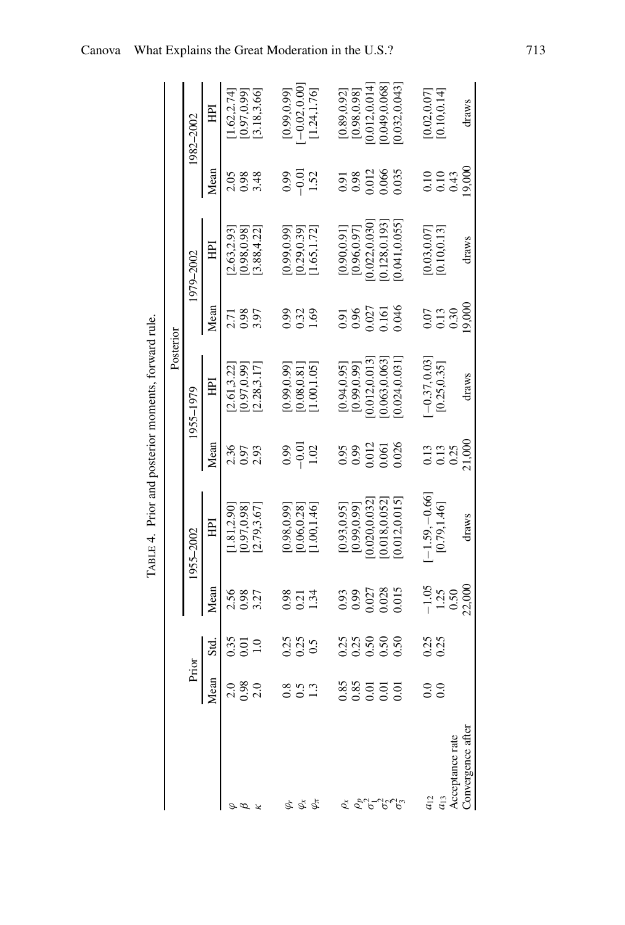| ļ                       |
|-------------------------|
| ı<br>ł                  |
| C. STORY<br>Ì<br>۱<br>ļ |
| ֚֬                      |

|                   |                    |                         |                       | TABLE 4. Prior and posterior moments, forward rule |                                             |                        |                  |                                  |                     |                              |
|-------------------|--------------------|-------------------------|-----------------------|----------------------------------------------------|---------------------------------------------|------------------------|------------------|----------------------------------|---------------------|------------------------------|
|                   |                    |                         |                       |                                                    |                                             | Posterior              |                  |                                  |                     |                              |
|                   | Prior              |                         |                       | 1955-2002                                          |                                             | 1955–1979              |                  | 1979-2002                        |                     | 1982-2002                    |
|                   | Mean               | Std.                    | Mean                  | Ē                                                  | Mean                                        | 囯                      | Mean             | Ē                                | Mean                | 巨                            |
|                   | 2.0                | 0.35                    | 2.56                  | 1.81,2.90                                          | 2.36                                        | 2.61.3.22              | 2.71             | 2.63,2.93                        | 2.05                | 1.62,2.74                    |
|                   | 0.98               | $\Xi$<br>$\overline{0}$ | 0.98<br>3.27          | 0.97,0.98<br>2.79,3.67]                            | 2.93<br>0.97                                | 0.97,0.99<br>2.28,3.17 | 0.98<br>5.97     | 3.88,4.22]<br>0.98,0.98          | $0.98$<br>3.48      | [0.97, 0.99]<br>[3.18, 3.66] |
|                   |                    |                         | 0.98                  | 0.98,0.99                                          | 0.99                                        | 0.99,0.99              | 0.99             | [66.0, 66.0]                     | 0.99                | [0.99, 0.99]                 |
| 5 5 5<br>9 5 7    |                    | 335                     | 0.21                  | [0.06, 0.28]                                       | $-0.01$                                     | 0.08,0.81              | 0.32             | (0.29, 0.39)                     | $-0.01$             | $[-0.02, 0.00]$              |
|                   |                    |                         | 1.34                  | 1.00, 1.46                                         | 1.02                                        | 1.00, 1.05             | 1.69             | 1.65,1.72]                       | 1.52                | [1.24, 1.76]                 |
| $\rho_{\rm x}$    | 0.85               | 25                      | $0.93$<br>0.99        | [0.93, 0.95]                                       | 0.95                                        | [0.94, 0.95]           | 0.91             | [0.90, 0.91]                     | $\frac{0.91}{0.98}$ | [0.89, 0.92]                 |
|                   | 0.85               |                         |                       | [0.99, 0.99]                                       | 0.99                                        | [0.99, 0.99]           | 0.96             | [0.96, 0.97]                     |                     | [0.98, 0.98]                 |
| $\rho_p^P$        | 0.01               | 0.50                    | 0.027                 | 0.020,0.032                                        | 0.012                                       | 0.012,0.013            | 0.027            | 0.022,0.030                      | 0.012               | 0.012,0.014                  |
|                   | $\overline{0}$     | 0.50                    | 0.28                  | 0.018,0.052                                        | 0.061                                       | 0.063,0.063            |                  | 0.128,0.193                      | 0.066               | 0.049,0.068]                 |
|                   | $\overline{0}$ .   | 0.50                    | 0.015                 | 0.012, 0.015                                       | 0.026                                       | 0.024,0.031            | 0.046            | 0.041,0.055]                     |                     | 0.032,0.043                  |
| $a_{12}$          | $_{\odot}^{\rm O}$ |                         |                       | $-1.59, -0.66$                                     |                                             | $-0.37, 0.03$          |                  |                                  |                     | [0.02, 0.07]                 |
|                   |                    | 0.25<br>0.25            | $-1.05$<br>1.25       |                                                    | $\begin{array}{c} 0.13 \\ 0.13 \end{array}$ |                        |                  | $[0.03, 0.07]$<br>$[0.10, 0.13]$ |                     |                              |
| $q_{13}$          | $\overline{0}$     |                         |                       | [0.79, 1.46]                                       |                                             | [0.25, 0.35]           | $0.13$<br>$0.30$ |                                  | $0.10$<br>$0.43$    | [0.10, 0.14]                 |
| Acceptance rate   |                    |                         |                       |                                                    | 0.25                                        |                        |                  |                                  |                     |                              |
| Convergence after |                    |                         | $\frac{0.50}{22,000}$ | draws                                              | 21,000                                      | draws                  | 19,000           | draws                            | 19,000              | draws                        |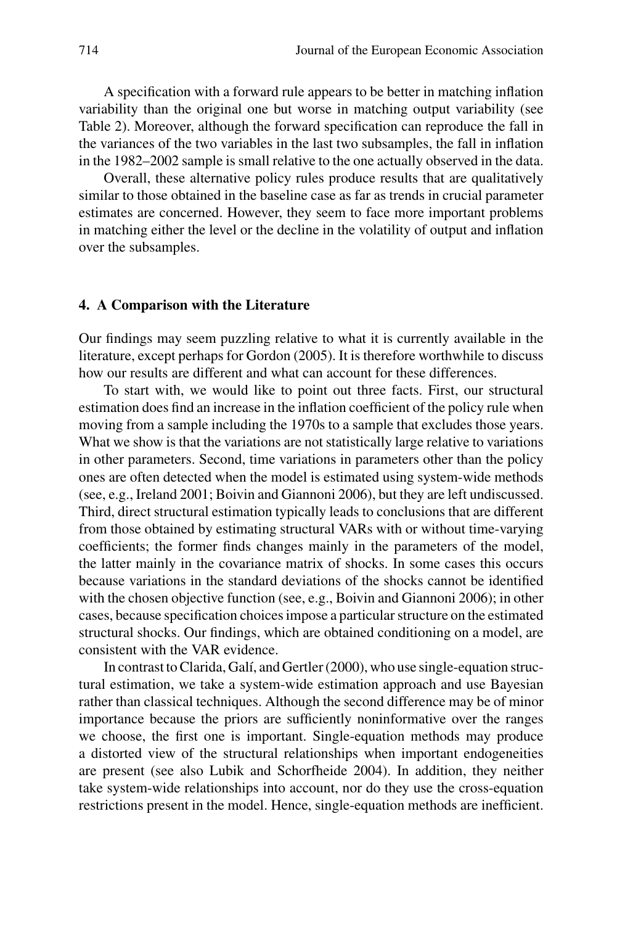A specification with a forward rule appears to be better in matching inflation variability than the original one but worse in matching output variability (see Table 2). Moreover, although the forward specification can reproduce the fall in the variances of the two variables in the last two subsamples, the fall in inflation in the 1982–2002 sample is small relative to the one actually observed in the data.

Overall, these alternative policy rules produce results that are qualitatively similar to those obtained in the baseline case as far as trends in crucial parameter estimates are concerned. However, they seem to face more important problems in matching either the level or the decline in the volatility of output and inflation over the subsamples.

## **4. A Comparison with the Literature**

Our findings may seem puzzling relative to what it is currently available in the literature, except perhaps for Gordon (2005). It is therefore worthwhile to discuss how our results are different and what can account for these differences.

To start with, we would like to point out three facts. First, our structural estimation does find an increase in the inflation coefficient of the policy rule when moving from a sample including the 1970s to a sample that excludes those years. What we show is that the variations are not statistically large relative to variations in other parameters. Second, time variations in parameters other than the policy ones are often detected when the model is estimated using system-wide methods (see, e.g., Ireland 2001; Boivin and Giannoni 2006), but they are left undiscussed. Third, direct structural estimation typically leads to conclusions that are different from those obtained by estimating structural VARs with or without time-varying coefficients; the former finds changes mainly in the parameters of the model, the latter mainly in the covariance matrix of shocks. In some cases this occurs because variations in the standard deviations of the shocks cannot be identified with the chosen objective function (see, e.g., Boivin and Giannoni 2006); in other cases, because specification choices impose a particular structure on the estimated structural shocks. Our findings, which are obtained conditioning on a model, are consistent with the VAR evidence.

In contrast to Clarida, Galí, and Gertler (2000), who use single-equation structural estimation, we take a system-wide estimation approach and use Bayesian rather than classical techniques. Although the second difference may be of minor importance because the priors are sufficiently noninformative over the ranges we choose, the first one is important. Single-equation methods may produce a distorted view of the structural relationships when important endogeneities are present (see also Lubik and Schorfheide 2004). In addition, they neither take system-wide relationships into account, nor do they use the cross-equation restrictions present in the model. Hence, single-equation methods are inefficient.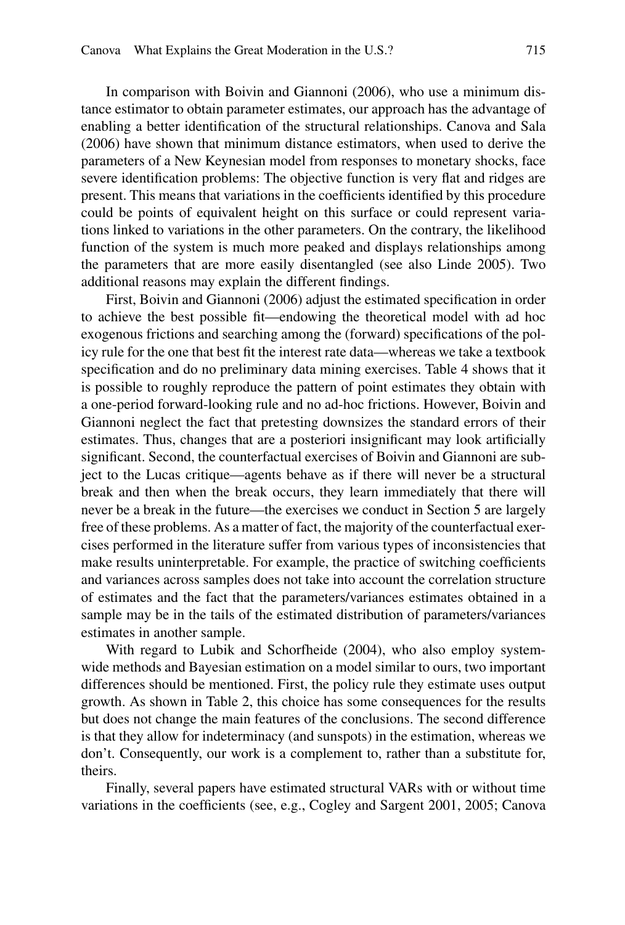In comparison with Boivin and Giannoni (2006), who use a minimum distance estimator to obtain parameter estimates, our approach has the advantage of enabling a better identification of the structural relationships. Canova and Sala (2006) have shown that minimum distance estimators, when used to derive the parameters of a New Keynesian model from responses to monetary shocks, face severe identification problems: The objective function is very flat and ridges are present. This means that variations in the coefficients identified by this procedure could be points of equivalent height on this surface or could represent variations linked to variations in the other parameters. On the contrary, the likelihood function of the system is much more peaked and displays relationships among the parameters that are more easily disentangled (see also Linde 2005). Two additional reasons may explain the different findings.

First, Boivin and Giannoni (2006) adjust the estimated specification in order to achieve the best possible fit—endowing the theoretical model with ad hoc exogenous frictions and searching among the (forward) specifications of the policy rule for the one that best fit the interest rate data—whereas we take a textbook specification and do no preliminary data mining exercises. Table 4 shows that it is possible to roughly reproduce the pattern of point estimates they obtain with a one-period forward-looking rule and no ad-hoc frictions. However, Boivin and Giannoni neglect the fact that pretesting downsizes the standard errors of their estimates. Thus, changes that are a posteriori insignificant may look artificially significant. Second, the counterfactual exercises of Boivin and Giannoni are subject to the Lucas critique—agents behave as if there will never be a structural break and then when the break occurs, they learn immediately that there will never be a break in the future—the exercises we conduct in Section 5 are largely free of these problems. As a matter of fact, the majority of the counterfactual exercises performed in the literature suffer from various types of inconsistencies that make results uninterpretable. For example, the practice of switching coefficients and variances across samples does not take into account the correlation structure of estimates and the fact that the parameters/variances estimates obtained in a sample may be in the tails of the estimated distribution of parameters/variances estimates in another sample.

With regard to Lubik and Schorfheide (2004), who also employ systemwide methods and Bayesian estimation on a model similar to ours, two important differences should be mentioned. First, the policy rule they estimate uses output growth. As shown in Table 2, this choice has some consequences for the results but does not change the main features of the conclusions. The second difference is that they allow for indeterminacy (and sunspots) in the estimation, whereas we don't. Consequently, our work is a complement to, rather than a substitute for, theirs.

Finally, several papers have estimated structural VARs with or without time variations in the coefficients (see, e.g., Cogley and Sargent 2001, 2005; Canova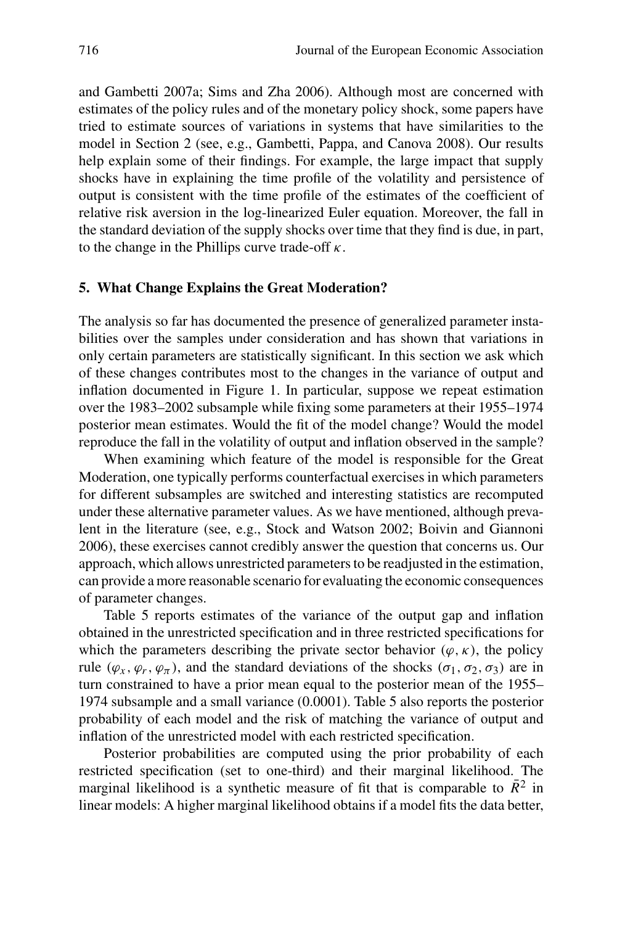and Gambetti 2007a; Sims and Zha 2006). Although most are concerned with estimates of the policy rules and of the monetary policy shock, some papers have tried to estimate sources of variations in systems that have similarities to the model in Section 2 (see, e.g., Gambetti, Pappa, and Canova 2008). Our results help explain some of their findings. For example, the large impact that supply shocks have in explaining the time profile of the volatility and persistence of output is consistent with the time profile of the estimates of the coefficient of relative risk aversion in the log-linearized Euler equation. Moreover, the fall in the standard deviation of the supply shocks over time that they find is due, in part, to the change in the Phillips curve trade-off *κ*.

# **5. What Change Explains the Great Moderation?**

The analysis so far has documented the presence of generalized parameter instabilities over the samples under consideration and has shown that variations in only certain parameters are statistically significant. In this section we ask which of these changes contributes most to the changes in the variance of output and inflation documented in Figure 1. In particular, suppose we repeat estimation over the 1983–2002 subsample while fixing some parameters at their 1955–1974 posterior mean estimates. Would the fit of the model change? Would the model reproduce the fall in the volatility of output and inflation observed in the sample?

When examining which feature of the model is responsible for the Great Moderation, one typically performs counterfactual exercises in which parameters for different subsamples are switched and interesting statistics are recomputed under these alternative parameter values. As we have mentioned, although prevalent in the literature (see, e.g., Stock and Watson 2002; Boivin and Giannoni 2006), these exercises cannot credibly answer the question that concerns us. Our approach, which allows unrestricted parameters to be readjusted in the estimation, can provide a more reasonable scenario for evaluating the economic consequences of parameter changes.

Table 5 reports estimates of the variance of the output gap and inflation obtained in the unrestricted specification and in three restricted specifications for which the parameters describing the private sector behavior  $(\varphi, \kappa)$ , the policy rule  $(\varphi_x, \varphi_y, \varphi_\pi)$ , and the standard deviations of the shocks  $(\sigma_1, \sigma_2, \sigma_3)$  are in turn constrained to have a prior mean equal to the posterior mean of the 1955– 1974 subsample and a small variance (0.0001). Table 5 also reports the posterior probability of each model and the risk of matching the variance of output and inflation of the unrestricted model with each restricted specification.

Posterior probabilities are computed using the prior probability of each restricted specification (set to one-third) and their marginal likelihood. The marginal likelihood is a synthetic measure of fit that is comparable to  $\bar{R}^2$  in linear models: A higher marginal likelihood obtains if a model fits the data better,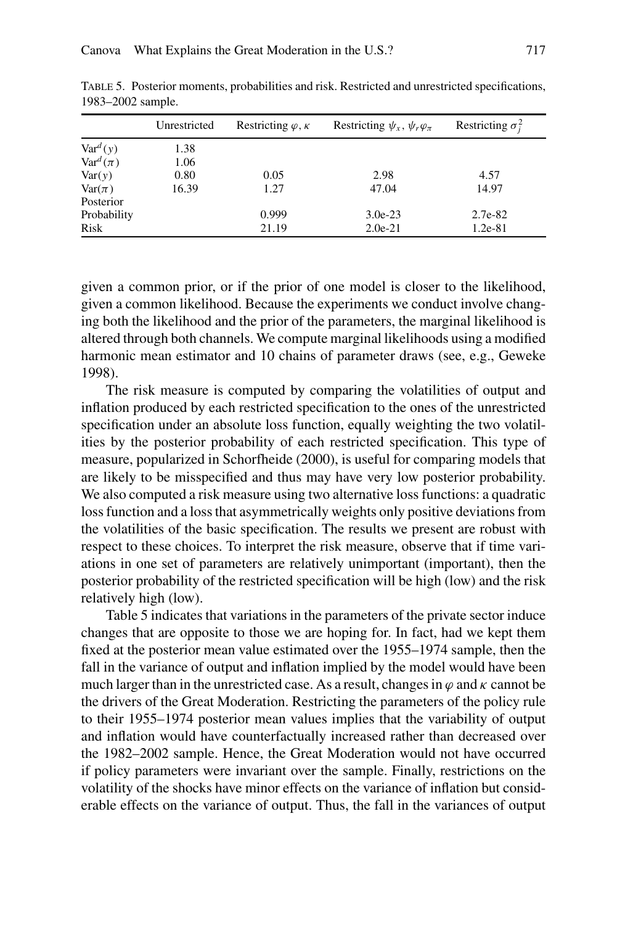|                     | Unrestricted | Restricting $\varphi$ , $\kappa$ | Restricting $\psi_x$ , $\psi_r \varphi_{\pi}$ | Restricting $\sigma_i^2$ |
|---------------------|--------------|----------------------------------|-----------------------------------------------|--------------------------|
| $\text{Var}^d(y)$   | 1.38         |                                  |                                               |                          |
| $\text{Var}^d(\pi)$ | 1.06         |                                  |                                               |                          |
| Var(y)              | 0.80         | 0.05                             | 2.98                                          | 4.57                     |
| $\text{Var}(\pi)$   | 16.39        | 1.27                             | 47.04                                         | 14.97                    |
| Posterior           |              |                                  |                                               |                          |
| Probability         |              | 0.999                            | $3.0e-23$                                     | 2.7e-82                  |
| Risk                |              | 21.19                            | $2.0e-21$                                     | 1.2e-81                  |

Table 5. Posterior moments, probabilities and risk. Restricted and unrestricted specifications, 1983–2002 sample.

given a common prior, or if the prior of one model is closer to the likelihood, given a common likelihood. Because the experiments we conduct involve changing both the likelihood and the prior of the parameters, the marginal likelihood is altered through both channels. We compute marginal likelihoods using a modified harmonic mean estimator and 10 chains of parameter draws (see, e.g., Geweke 1998).

The risk measure is computed by comparing the volatilities of output and inflation produced by each restricted specification to the ones of the unrestricted specification under an absolute loss function, equally weighting the two volatilities by the posterior probability of each restricted specification. This type of measure, popularized in Schorfheide (2000), is useful for comparing models that are likely to be misspecified and thus may have very low posterior probability. We also computed a risk measure using two alternative loss functions: a quadratic loss function and a loss that asymmetrically weights only positive deviations from the volatilities of the basic specification. The results we present are robust with respect to these choices. To interpret the risk measure, observe that if time variations in one set of parameters are relatively unimportant (important), then the posterior probability of the restricted specification will be high (low) and the risk relatively high (low).

Table 5 indicates that variations in the parameters of the private sector induce changes that are opposite to those we are hoping for. In fact, had we kept them fixed at the posterior mean value estimated over the 1955–1974 sample, then the fall in the variance of output and inflation implied by the model would have been much larger than in the unrestricted case. As a result, changes in  $\varphi$  and  $\kappa$  cannot be the drivers of the Great Moderation. Restricting the parameters of the policy rule to their 1955–1974 posterior mean values implies that the variability of output and inflation would have counterfactually increased rather than decreased over the 1982–2002 sample. Hence, the Great Moderation would not have occurred if policy parameters were invariant over the sample. Finally, restrictions on the volatility of the shocks have minor effects on the variance of inflation but considerable effects on the variance of output. Thus, the fall in the variances of output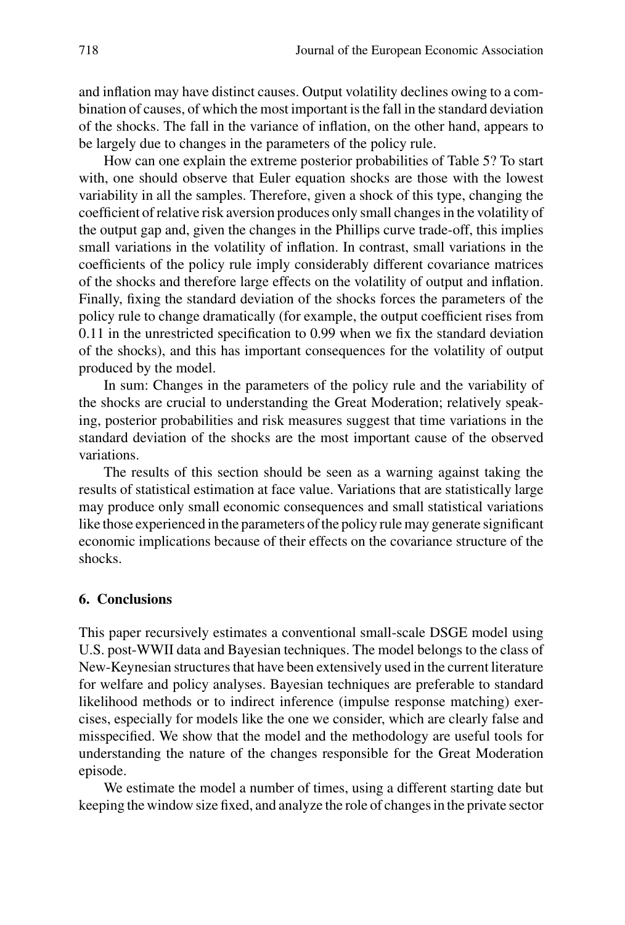and inflation may have distinct causes. Output volatility declines owing to a combination of causes, of which the most important is the fall in the standard deviation of the shocks. The fall in the variance of inflation, on the other hand, appears to be largely due to changes in the parameters of the policy rule.

How can one explain the extreme posterior probabilities of Table 5? To start with, one should observe that Euler equation shocks are those with the lowest variability in all the samples. Therefore, given a shock of this type, changing the coefficient of relative risk aversion produces only small changes in the volatility of the output gap and, given the changes in the Phillips curve trade-off, this implies small variations in the volatility of inflation. In contrast, small variations in the coefficients of the policy rule imply considerably different covariance matrices of the shocks and therefore large effects on the volatility of output and inflation. Finally, fixing the standard deviation of the shocks forces the parameters of the policy rule to change dramatically (for example, the output coefficient rises from 0.11 in the unrestricted specification to 0.99 when we fix the standard deviation of the shocks), and this has important consequences for the volatility of output produced by the model.

In sum: Changes in the parameters of the policy rule and the variability of the shocks are crucial to understanding the Great Moderation; relatively speaking, posterior probabilities and risk measures suggest that time variations in the standard deviation of the shocks are the most important cause of the observed variations.

The results of this section should be seen as a warning against taking the results of statistical estimation at face value. Variations that are statistically large may produce only small economic consequences and small statistical variations like those experienced in the parameters of the policy rule may generate significant economic implications because of their effects on the covariance structure of the shocks.

# **6. Conclusions**

This paper recursively estimates a conventional small-scale DSGE model using U.S. post-WWII data and Bayesian techniques. The model belongs to the class of New-Keynesian structures that have been extensively used in the current literature for welfare and policy analyses. Bayesian techniques are preferable to standard likelihood methods or to indirect inference (impulse response matching) exercises, especially for models like the one we consider, which are clearly false and misspecified. We show that the model and the methodology are useful tools for understanding the nature of the changes responsible for the Great Moderation episode.

We estimate the model a number of times, using a different starting date but keeping the window size fixed, and analyze the role of changes in the private sector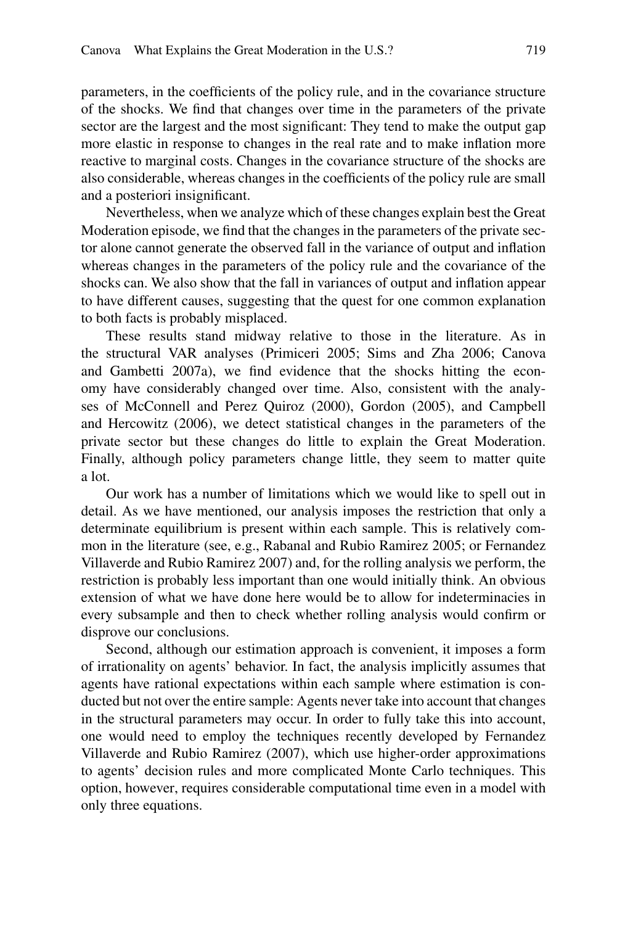parameters, in the coefficients of the policy rule, and in the covariance structure of the shocks. We find that changes over time in the parameters of the private sector are the largest and the most significant: They tend to make the output gap more elastic in response to changes in the real rate and to make inflation more reactive to marginal costs. Changes in the covariance structure of the shocks are also considerable, whereas changes in the coefficients of the policy rule are small and a posteriori insignificant.

Nevertheless, when we analyze which of these changes explain best the Great Moderation episode, we find that the changes in the parameters of the private sector alone cannot generate the observed fall in the variance of output and inflation whereas changes in the parameters of the policy rule and the covariance of the shocks can. We also show that the fall in variances of output and inflation appear to have different causes, suggesting that the quest for one common explanation to both facts is probably misplaced.

These results stand midway relative to those in the literature. As in the structural VAR analyses (Primiceri 2005; Sims and Zha 2006; Canova and Gambetti 2007a), we find evidence that the shocks hitting the economy have considerably changed over time. Also, consistent with the analyses of McConnell and Perez Quiroz (2000), Gordon (2005), and Campbell and Hercowitz (2006), we detect statistical changes in the parameters of the private sector but these changes do little to explain the Great Moderation. Finally, although policy parameters change little, they seem to matter quite a lot.

Our work has a number of limitations which we would like to spell out in detail. As we have mentioned, our analysis imposes the restriction that only a determinate equilibrium is present within each sample. This is relatively common in the literature (see, e.g., Rabanal and Rubio Ramirez 2005; or Fernandez Villaverde and Rubio Ramirez 2007) and, for the rolling analysis we perform, the restriction is probably less important than one would initially think. An obvious extension of what we have done here would be to allow for indeterminacies in every subsample and then to check whether rolling analysis would confirm or disprove our conclusions.

Second, although our estimation approach is convenient, it imposes a form of irrationality on agents' behavior. In fact, the analysis implicitly assumes that agents have rational expectations within each sample where estimation is conducted but not over the entire sample: Agents never take into account that changes in the structural parameters may occur. In order to fully take this into account, one would need to employ the techniques recently developed by Fernandez Villaverde and Rubio Ramirez (2007), which use higher-order approximations to agents' decision rules and more complicated Monte Carlo techniques. This option, however, requires considerable computational time even in a model with only three equations.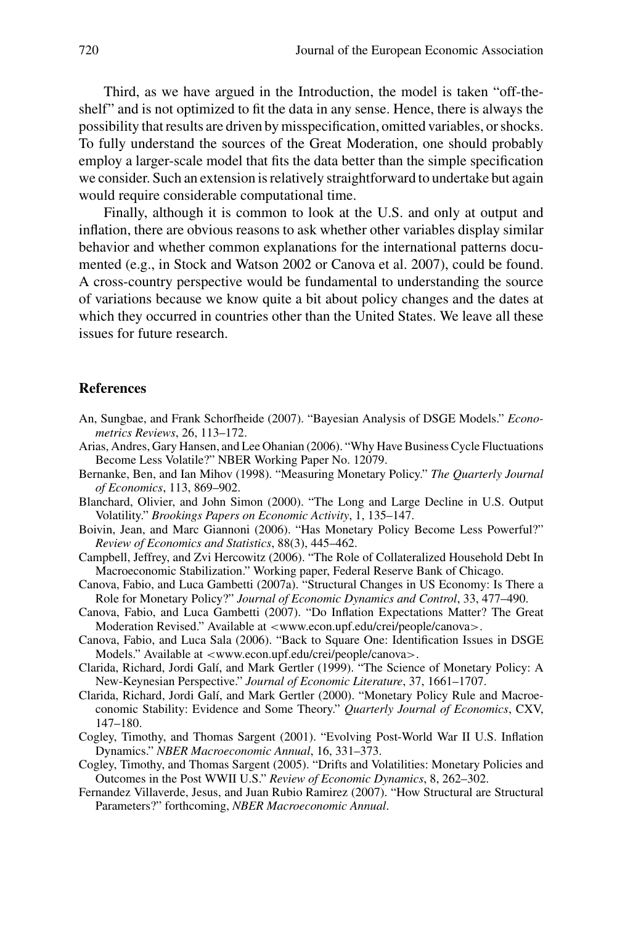Third, as we have argued in the Introduction, the model is taken "off-theshelf" and is not optimized to fit the data in any sense. Hence, there is always the possibility that results are driven by misspecification, omitted variables, or shocks. To fully understand the sources of the Great Moderation, one should probably employ a larger-scale model that fits the data better than the simple specification we consider. Such an extension is relatively straightforward to undertake but again would require considerable computational time.

Finally, although it is common to look at the U.S. and only at output and inflation, there are obvious reasons to ask whether other variables display similar behavior and whether common explanations for the international patterns documented (e.g., in Stock and Watson 2002 or Canova et al. 2007), could be found. A cross-country perspective would be fundamental to understanding the source of variations because we know quite a bit about policy changes and the dates at which they occurred in countries other than the United States. We leave all these issues for future research.

## **References**

- An, Sungbae, and Frank Schorfheide (2007). "Bayesian Analysis of DSGE Models." *Econometrics Reviews*, 26, 113–172.
- Arias, Andres, Gary Hansen, and Lee Ohanian (2006). "Why Have Business Cycle Fluctuations Become Less Volatile?" NBER Working Paper No. 12079.
- Bernanke, Ben, and Ian Mihov (1998). "Measuring Monetary Policy." *The Quarterly Journal of Economics*, 113, 869–902.
- Blanchard, Olivier, and John Simon (2000). "The Long and Large Decline in U.S. Output Volatility." *Brookings Papers on Economic Activity*, 1, 135–147.
- Boivin, Jean, and Marc Giannoni (2006). "Has Monetary Policy Become Less Powerful?" *Review of Economics and Statistics*, 88(3), 445–462.
- Campbell, Jeffrey, and Zvi Hercowitz (2006). "The Role of Collateralized Household Debt In Macroeconomic Stabilization." Working paper, Federal Reserve Bank of Chicago.
- Canova, Fabio, and Luca Gambetti (2007a). "Structural Changes in US Economy: Is There a Role for Monetary Policy?" *Journal of Economic Dynamics and Control*, 33, 477–490.
- Canova, Fabio, and Luca Gambetti (2007). "Do Inflation Expectations Matter? The Great Moderation Revised." Available at *<*www.econ.upf.edu/crei/people/canova*>*.
- Canova, Fabio, and Luca Sala (2006). "Back to Square One: Identification Issues in DSGE Models." Available at *<*www.econ.upf.edu/crei/people/canova*>*.
- Clarida, Richard, Jordi Galí, and Mark Gertler (1999). "The Science of Monetary Policy: A New-Keynesian Perspective." *Journal of Economic Literature*, 37, 1661–1707.
- Clarida, Richard, Jordi Galí, and Mark Gertler (2000). "Monetary Policy Rule and Macroeconomic Stability: Evidence and Some Theory." *Quarterly Journal of Economics*, CXV, 147–180.
- Cogley, Timothy, and Thomas Sargent (2001). "Evolving Post-World War II U.S. Inflation Dynamics." *NBER Macroeconomic Annual*, 16, 331–373.
- Cogley, Timothy, and Thomas Sargent (2005). "Drifts and Volatilities: Monetary Policies and Outcomes in the Post WWII U.S." *Review of Economic Dynamics*, 8, 262–302.
- Fernandez Villaverde, Jesus, and Juan Rubio Ramirez (2007). "How Structural are Structural Parameters?" forthcoming, *NBER Macroeconomic Annual*.